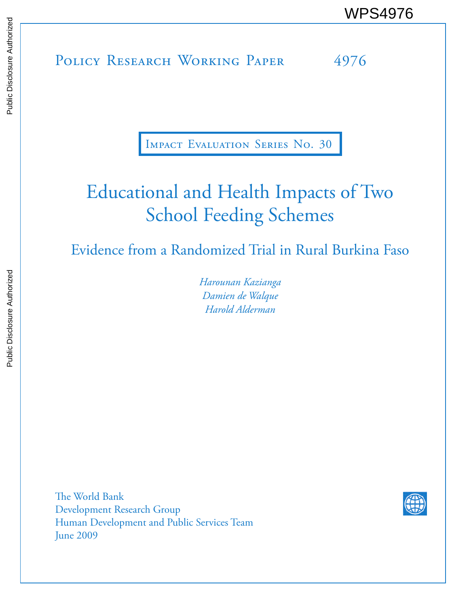POLICY RESEARCH WORKING PAPER 4976 WPS4976<br>
Media<br>
Media<br>
Policy Research Working Paper 4976<br>
Policy Research Working Paper 4976

Impact Evaluation Series No. 30

# Educational and Health Impacts of Two School Feeding Schemes

Evidence from a Randomized Trial in Rural Burkina Faso

*Harounan Kazianga Damien de Walque Harold Alderman*

The World Bank Development Research Group Human Development and Public Services Team June 2009

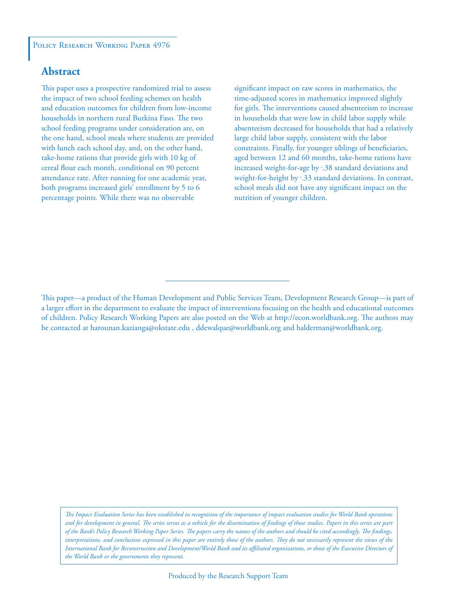## **Abstract**

This paper uses a prospective randomized trial to assess the impact of two school feeding schemes on health and education outcomes for children from low-income households in northern rural Burkina Faso. The two school feeding programs under consideration are, on the one hand, school meals where students are provided with lunch each school day, and, on the other hand, take-home rations that provide girls with 10 kg of cereal flour each month, conditional on 90 percent attendance rate. After running for one academic year, both programs increased girls' enrollment by 5 to 6 percentage points. While there was no observable

significant impact on raw scores in mathematics, the time-adjusted scores in mathematics improved slightly for girls. The interventions caused absenteeism to increase in households that were low in child labor supply while absenteeism decreased for households that had a relatively large child labor supply, consistent with the labor constraints. Finally, for younger siblings of beneficiaries, aged between 12 and 60 months, take-home rations have increased weight-for-age by :38 standard deviations and weight-for-height by :33 standard deviations. In contrast, school meals did not have any significant impact on the nutrition of younger children.

*The Impact Evaluation Series has been established in recognition of the importance of impact evaluation studies for World Bank operations and for development in general. The series serves as a vehicle for the dissemination of findings of those studies. Papers in this series are part of the Bank's Policy Research Working Paper Series. The papers carry the names of the authors and should be cited accordingly. The findings, interpretations, and conclusions expressed in this paper are entirely those of the authors. They do not necessarily represent the views of the International Bank for Reconstruction and Development/World Bank and its affiliated organizations, or those of the Executive Directors of the World Bank or the governments they represent.*

This paper—a product of the Human Development and Public Services Team, Development Research Group—is part of a larger effort in the department to evaluate the impact of interventions focusing on the health and educational outcomes of children. Policy Research Working Papers are also posted on the Web at http://econ.worldbank.org. The authors may be contacted at harounan.kazianga@okstate.edu , ddewalque@worldbank.org and halderman@worldbank.org.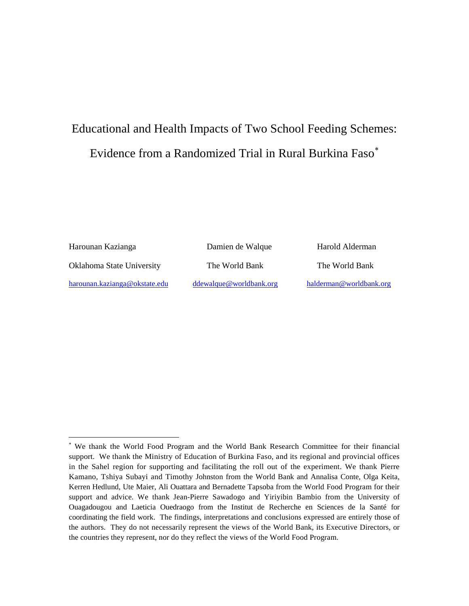## Educational and Health Impacts of Two School Feeding Schemes: Evidence from a Randomized Trial in Rural Burkina Faso<sup>\*</sup>

ı

Harounan Kazianga Damien de Walque Harold Alderman

[ddewalque@worldbank.org](mailto:ddewalque@worldbank.org) [halderman@worldbank.org](mailto:halderman@worldbank.org)

Oklahoma State University The World Bank The World Bank

[harounan.kazianga@okstate.edu](mailto:harounan.kazianga@okstate.edu)

<span id="page-2-0"></span><sup>∗</sup> We thank the World Food Program and the World Bank Research Committee for their financial support. We thank the Ministry of Education of Burkina Faso, and its regional and provincial offices in the Sahel region for supporting and facilitating the roll out of the experiment. We thank Pierre Kamano, Tshiya Subayi and Timothy Johnston from the World Bank and Annalisa Conte, Olga Keita, Kerren Hedlund, Ute Maier, Ali Ouattara and Bernadette Tapsoba from the World Food Program for their support and advice. We thank Jean-Pierre Sawadogo and Yiriyibin Bambio from the University of Ouagadougou and Laeticia Ouedraogo from the Institut de Recherche en Sciences de la Santé for coordinating the field work. The findings, interpretations and conclusions expressed are entirely those of the authors. They do not necessarily represent the views of the World Bank, its Executive Directors, or the countries they represent, nor do they reflect the views of the World Food Program.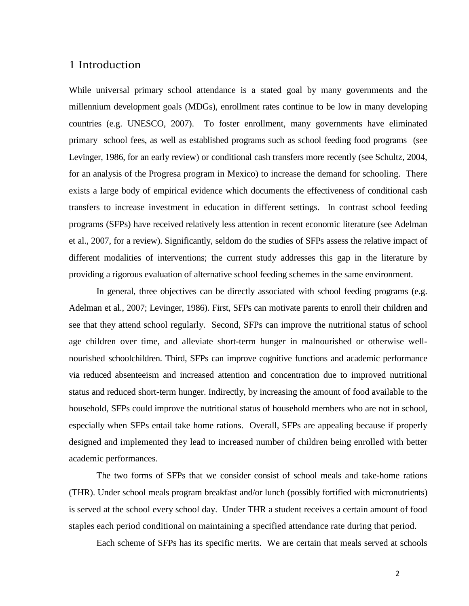## 1 Introduction

While universal primary school attendance is a stated goal by many governments and the millennium development goals (MDGs), enrollment rates continue to be low in many developing countries (e.g. UNESCO, 2007). To foster enrollment, many governments have eliminated primary school fees, as well as established programs such as school feeding food programs (see Levinger, 1986, for an early review) or conditional cash transfers more recently (see Schultz, 2004, for an analysis of the Progresa program in Mexico) to increase the demand for schooling. There exists a large body of empirical evidence which documents the effectiveness of conditional cash transfers to increase investment in education in different settings. In contrast school feeding programs (SFPs) have received relatively less attention in recent economic literature (see Adelman et al., 2007, for a review). Significantly, seldom do the studies of SFPs assess the relative impact of different modalities of interventions; the current study addresses this gap in the literature by providing a rigorous evaluation of alternative school feeding schemes in the same environment.

In general, three objectives can be directly associated with school feeding programs (e.g. Adelman et al., 2007; Levinger, 1986). First, SFPs can motivate parents to enroll their children and see that they attend school regularly. Second, SFPs can improve the nutritional status of school age children over time, and alleviate short-term hunger in malnourished or otherwise wellnourished schoolchildren. Third, SFPs can improve cognitive functions and academic performance via reduced absenteeism and increased attention and concentration due to improved nutritional status and reduced short-term hunger. Indirectly, by increasing the amount of food available to the household, SFPs could improve the nutritional status of household members who are not in school, especially when SFPs entail take home rations. Overall, SFPs are appealing because if properly designed and implemented they lead to increased number of children being enrolled with better academic performances.

The two forms of SFPs that we consider consist of school meals and take-home rations (THR). Under school meals program breakfast and/or lunch (possibly fortified with micronutrients) is served at the school every school day. Under THR a student receives a certain amount of food staples each period conditional on maintaining a specified attendance rate during that period.

Each scheme of SFPs has its specific merits. We are certain that meals served at schools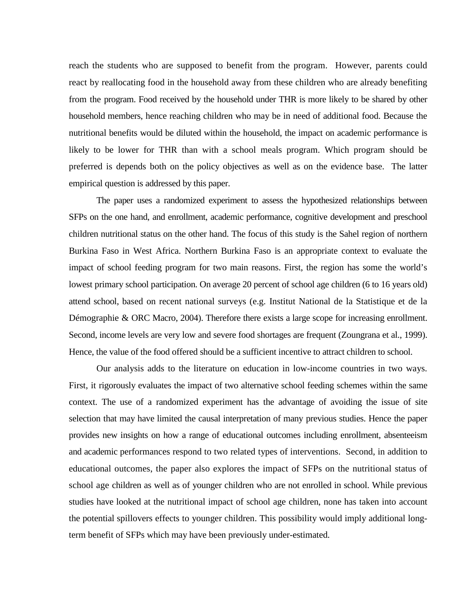reach the students who are supposed to benefit from the program. However, parents could react by reallocating food in the household away from these children who are already benefiting from the program. Food received by the household under THR is more likely to be shared by other household members, hence reaching children who may be in need of additional food. Because the nutritional benefits would be diluted within the household, the impact on academic performance is likely to be lower for THR than with a school meals program. Which program should be preferred is depends both on the policy objectives as well as on the evidence base. The latter empirical question is addressed by this paper.

The paper uses a randomized experiment to assess the hypothesized relationships between SFPs on the one hand, and enrollment, academic performance, cognitive development and preschool children nutritional status on the other hand. The focus of this study is the Sahel region of northern Burkina Faso in West Africa. Northern Burkina Faso is an appropriate context to evaluate the impact of school feeding program for two main reasons. First, the region has some the world's lowest primary school participation. On average 20 percent of school age children (6 to 16 years old) attend school, based on recent national surveys (e.g. Institut National de la Statistique et de la Démographie & ORC Macro, 2004). Therefore there exists a large scope for increasing enrollment. Second, income levels are very low and severe food shortages are frequent (Zoungrana et al., 1999). Hence, the value of the food offered should be a sufficient incentive to attract children to school.

Our analysis adds to the literature on education in low-income countries in two ways. First, it rigorously evaluates the impact of two alternative school feeding schemes within the same context. The use of a randomized experiment has the advantage of avoiding the issue of site selection that may have limited the causal interpretation of many previous studies. Hence the paper provides new insights on how a range of educational outcomes including enrollment, absenteeism and academic performances respond to two related types of interventions. Second, in addition to educational outcomes, the paper also explores the impact of SFPs on the nutritional status of school age children as well as of younger children who are not enrolled in school. While previous studies have looked at the nutritional impact of school age children, none has taken into account the potential spillovers effects to younger children. This possibility would imply additional longterm benefit of SFPs which may have been previously under-estimated.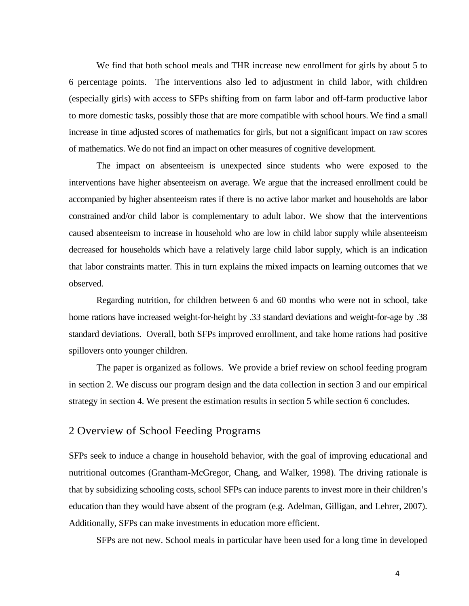We find that both school meals and THR increase new enrollment for girls by about 5 to 6 percentage points. The interventions also led to adjustment in child labor, with children (especially girls) with access to SFPs shifting from on farm labor and off-farm productive labor to more domestic tasks, possibly those that are more compatible with school hours. We find a small increase in time adjusted scores of mathematics for girls, but not a significant impact on raw scores of mathematics. We do not find an impact on other measures of cognitive development.

The impact on absenteeism is unexpected since students who were exposed to the interventions have higher absenteeism on average. We argue that the increased enrollment could be accompanied by higher absenteeism rates if there is no active labor market and households are labor constrained and/or child labor is complementary to adult labor. We show that the interventions caused absenteeism to increase in household who are low in child labor supply while absenteeism decreased for households which have a relatively large child labor supply, which is an indication that labor constraints matter. This in turn explains the mixed impacts on learning outcomes that we observed.

Regarding nutrition, for children between 6 and 60 months who were not in school, take home rations have increased weight-for-height by .33 standard deviations and weight-for-age by .38 standard deviations. Overall, both SFPs improved enrollment, and take home rations had positive spillovers onto younger children.

The paper is organized as follows. We provide a brief review on school feeding program in section 2. We discuss our program design and the data collection in section 3 and our empirical strategy in section 4. We present the estimation results in section 5 while section 6 concludes.

## 2 Overview of School Feeding Programs

SFPs seek to induce a change in household behavior, with the goal of improving educational and nutritional outcomes (Grantham-McGregor, Chang, and Walker, 1998). The driving rationale is that by subsidizing schooling costs, school SFPs can induce parents to invest more in their children's education than they would have absent of the program (e.g. Adelman, Gilligan, and Lehrer, 2007). Additionally, SFPs can make investments in education more efficient.

SFPs are not new. School meals in particular have been used for a long time in developed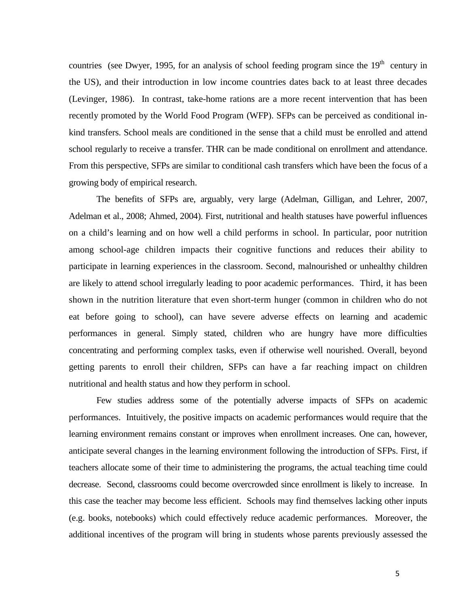countries (see Dwyer, 1995, for an analysis of school feeding program since the  $19<sup>th</sup>$  century in the US), and their introduction in low income countries dates back to at least three decades (Levinger, 1986). In contrast, take-home rations are a more recent intervention that has been recently promoted by the World Food Program (WFP). SFPs can be perceived as conditional inkind transfers. School meals are conditioned in the sense that a child must be enrolled and attend school regularly to receive a transfer. THR can be made conditional on enrollment and attendance. From this perspective, SFPs are similar to conditional cash transfers which have been the focus of a growing body of empirical research.

The benefits of SFPs are, arguably, very large (Adelman, Gilligan, and Lehrer, 2007, Adelman et al., 2008; Ahmed, 2004). First, nutritional and health statuses have powerful influences on a child's learning and on how well a child performs in school. In particular, poor nutrition among school-age children impacts their cognitive functions and reduces their ability to participate in learning experiences in the classroom. Second, malnourished or unhealthy children are likely to attend school irregularly leading to poor academic performances. Third, it has been shown in the nutrition literature that even short-term hunger (common in children who do not eat before going to school), can have severe adverse effects on learning and academic performances in general. Simply stated, children who are hungry have more difficulties concentrating and performing complex tasks, even if otherwise well nourished. Overall, beyond getting parents to enroll their children, SFPs can have a far reaching impact on children nutritional and health status and how they perform in school.

Few studies address some of the potentially adverse impacts of SFPs on academic performances. Intuitively, the positive impacts on academic performances would require that the learning environment remains constant or improves when enrollment increases. One can, however, anticipate several changes in the learning environment following the introduction of SFPs. First, if teachers allocate some of their time to administering the programs, the actual teaching time could decrease. Second, classrooms could become overcrowded since enrollment is likely to increase. In this case the teacher may become less efficient. Schools may find themselves lacking other inputs (e.g. books, notebooks) which could effectively reduce academic performances. Moreover, the additional incentives of the program will bring in students whose parents previously assessed the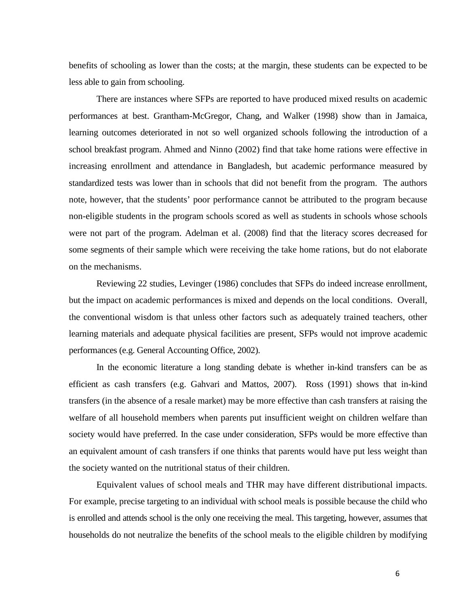benefits of schooling as lower than the costs; at the margin, these students can be expected to be less able to gain from schooling.

There are instances where SFPs are reported to have produced mixed results on academic performances at best. Grantham-McGregor, Chang, and Walker (1998) show than in Jamaica, learning outcomes deteriorated in not so well organized schools following the introduction of a school breakfast program. Ahmed and Ninno (2002) find that take home rations were effective in increasing enrollment and attendance in Bangladesh, but academic performance measured by standardized tests was lower than in schools that did not benefit from the program. The authors note, however, that the students' poor performance cannot be attributed to the program because non-eligible students in the program schools scored as well as students in schools whose schools were not part of the program. Adelman et al. (2008) find that the literacy scores decreased for some segments of their sample which were receiving the take home rations, but do not elaborate on the mechanisms.

Reviewing 22 studies, Levinger (1986) concludes that SFPs do indeed increase enrollment, but the impact on academic performances is mixed and depends on the local conditions. Overall, the conventional wisdom is that unless other factors such as adequately trained teachers, other learning materials and adequate physical facilities are present, SFPs would not improve academic performances (e.g. General Accounting Office, 2002).

In the economic literature a long standing debate is whether in-kind transfers can be as efficient as cash transfers (e.g. Gahvari and Mattos, 2007). Ross (1991) shows that in-kind transfers (in the absence of a resale market) may be more effective than cash transfers at raising the welfare of all household members when parents put insufficient weight on children welfare than society would have preferred. In the case under consideration, SFPs would be more effective than an equivalent amount of cash transfers if one thinks that parents would have put less weight than the society wanted on the nutritional status of their children.

Equivalent values of school meals and THR may have different distributional impacts. For example, precise targeting to an individual with school meals is possible because the child who is enrolled and attends school is the only one receiving the meal. This targeting, however, assumes that households do not neutralize the benefits of the school meals to the eligible children by modifying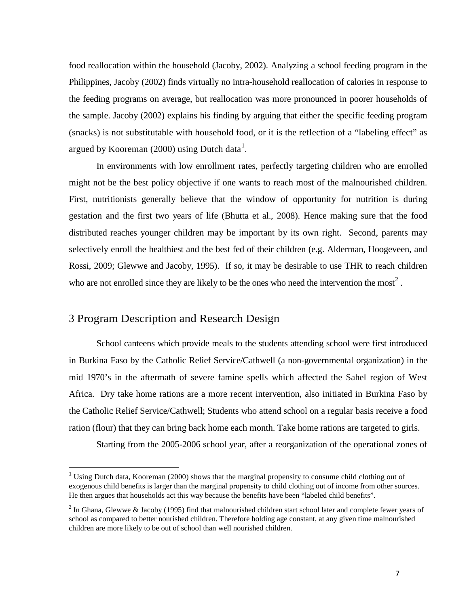food reallocation within the household (Jacoby, 2002). Analyzing a school feeding program in the Philippines, Jacoby (2002) finds virtually no intra-household reallocation of calories in response to the feeding programs on average, but reallocation was more pronounced in poorer households of the sample. Jacoby (2002) explains his finding by arguing that either the specific feeding program (snacks) is not substitutable with household food, or it is the reflection of a "labeling effect" as argued by Kooreman (2000) using Dutch data<sup>[1](#page-8-0)</sup>.

In environments with low enrollment rates, perfectly targeting children who are enrolled might not be the best policy objective if one wants to reach most of the malnourished children. First, nutritionists generally believe that the window of opportunity for nutrition is during gestation and the first two years of life (Bhutta et al., 2008). Hence making sure that the food distributed reaches younger children may be important by its own right. Second, parents may selectively enroll the healthiest and the best fed of their children (e.g. Alderman, Hoogeveen, and Rossi, 2009; Glewwe and Jacoby, 1995). If so, it may be desirable to use THR to reach children who are not enrolled since they are likely to be the ones who need the intervention the most<sup>[2](#page-8-1)</sup>.

## 3 Program Description and Research Design

 $\overline{\phantom{0}}$ 

School canteens which provide meals to the students attending school were first introduced in Burkina Faso by the Catholic Relief Service/Cathwell (a non-governmental organization) in the mid 1970's in the aftermath of severe famine spells which affected the Sahel region of West Africa. Dry take home rations are a more recent intervention, also initiated in Burkina Faso by the Catholic Relief Service/Cathwell; Students who attend school on a regular basis receive a food ration (flour) that they can bring back home each month. Take home rations are targeted to girls.

Starting from the 2005-2006 school year, after a reorganization of the operational zones of

<span id="page-8-0"></span><sup>&</sup>lt;sup>1</sup> Using Dutch data, Kooreman (2000) shows that the marginal propensity to consume child clothing out of exogenous child benefits is larger than the marginal propensity to child clothing out of income from other sources. He then argues that households act this way because the benefits have been "labeled child benefits".

<span id="page-8-1"></span><sup>&</sup>lt;sup>2</sup> In Ghana, Glewwe & Jacoby (1995) find that malnourished children start school later and complete fewer years of school as compared to better nourished children. Therefore holding age constant, at any given time malnourished children are more likely to be out of school than well nourished children.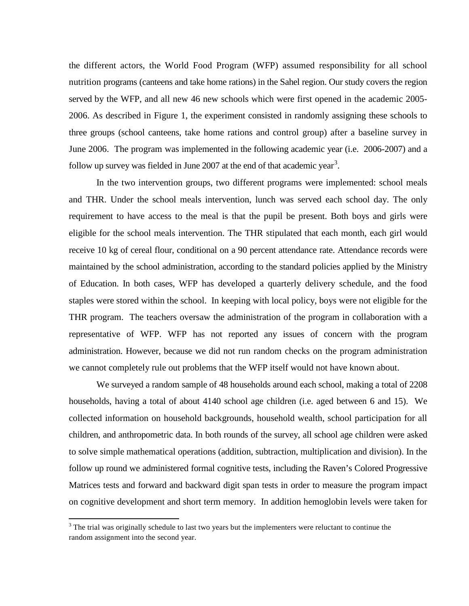the different actors, the World Food Program (WFP) assumed responsibility for all school nutrition programs (canteens and take home rations) in the Sahel region. Our study covers the region served by the WFP, and all new 46 new schools which were first opened in the academic 2005- 2006. As described in Figure 1, the experiment consisted in randomly assigning these schools to three groups (school canteens, take home rations and control group) after a baseline survey in June 2006. The program was implemented in the following academic year (i.e. 2006-2007) and a follow up survey was fielded in June 2007 at the end of that academic year<sup>[3](#page-9-0)</sup>.

In the two intervention groups, two different programs were implemented: school meals and THR. Under the school meals intervention, lunch was served each school day. The only requirement to have access to the meal is that the pupil be present. Both boys and girls were eligible for the school meals intervention. The THR stipulated that each month, each girl would receive 10 kg of cereal flour, conditional on a 90 percent attendance rate. Attendance records were maintained by the school administration, according to the standard policies applied by the Ministry of Education. In both cases, WFP has developed a quarterly delivery schedule, and the food staples were stored within the school. In keeping with local policy, boys were not eligible for the THR program. The teachers oversaw the administration of the program in collaboration with a representative of WFP. WFP has not reported any issues of concern with the program administration. However, because we did not run random checks on the program administration we cannot completely rule out problems that the WFP itself would not have known about.

We surveyed a random sample of 48 households around each school, making a total of 2208 households, having a total of about 4140 school age children (i.e. aged between 6 and 15). We collected information on household backgrounds, household wealth, school participation for all children, and anthropometric data. In both rounds of the survey, all school age children were asked to solve simple mathematical operations (addition, subtraction, multiplication and division). In the follow up round we administered formal cognitive tests, including the Raven's Colored Progressive Matrices tests and forward and backward digit span tests in order to measure the program impact on cognitive development and short term memory. In addition hemoglobin levels were taken for

ı

<span id="page-9-0"></span><sup>&</sup>lt;sup>3</sup> The trial was originally schedule to last two years but the implementers were reluctant to continue the random assignment into the second year.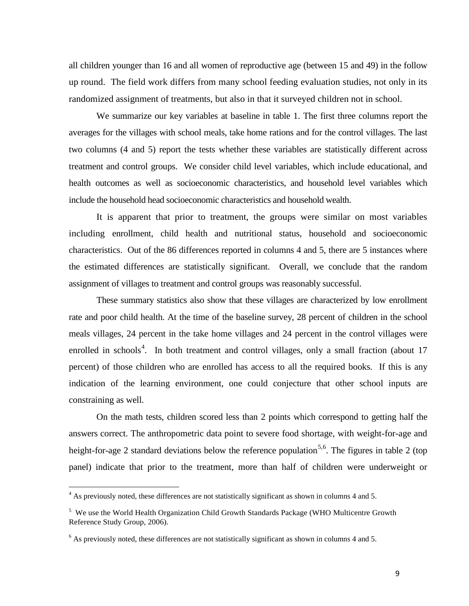all children younger than 16 and all women of reproductive age (between 15 and 49) in the follow up round. The field work differs from many school feeding evaluation studies, not only in its randomized assignment of treatments, but also in that it surveyed children not in school.

We summarize our key variables at baseline in table 1. The first three columns report the averages for the villages with school meals, take home rations and for the control villages. The last two columns (4 and 5) report the tests whether these variables are statistically different across treatment and control groups. We consider child level variables, which include educational, and health outcomes as well as socioeconomic characteristics, and household level variables which include the household head socioeconomic characteristics and household wealth.

It is apparent that prior to treatment, the groups were similar on most variables including enrollment, child health and nutritional status, household and socioeconomic characteristics. Out of the 86 differences reported in columns 4 and 5, there are 5 instances where the estimated differences are statistically significant. Overall, we conclude that the random assignment of villages to treatment and control groups was reasonably successful.

These summary statistics also show that these villages are characterized by low enrollment rate and poor child health. At the time of the baseline survey, 28 percent of children in the school meals villages, 24 percent in the take home villages and 24 percent in the control villages were enrolled in schools<sup>[4](#page-10-0)</sup>. In both treatment and control villages, only a small fraction (about 17 percent) of those children who are enrolled has access to all the required books. If this is any indication of the learning environment, one could conjecture that other school inputs are constraining as well.

On the math tests, children scored less than 2 points which correspond to getting half the answers correct. The anthropometric data point to severe food shortage, with weight-for-age and height-for-age 2 standard deviations below the reference population<sup>[5](#page-10-1),[6](#page-10-2)</sup>. The figures in table 2 (top panel) indicate that prior to the treatment, more than half of children were underweight or

 $\overline{\phantom{0}}$ 

<span id="page-10-0"></span><sup>&</sup>lt;sup>4</sup> As previously noted, these differences are not statistically significant as shown in columns 4 and 5.

<span id="page-10-1"></span><sup>&</sup>lt;sup>5</sup> We use the World Health Organization Child Growth Standards Package (WHO Multicentre Growth Reference Study Group, 2006).

<span id="page-10-2"></span><sup>6</sup> As previously noted, these differences are not statistically significant as shown in columns 4 and 5.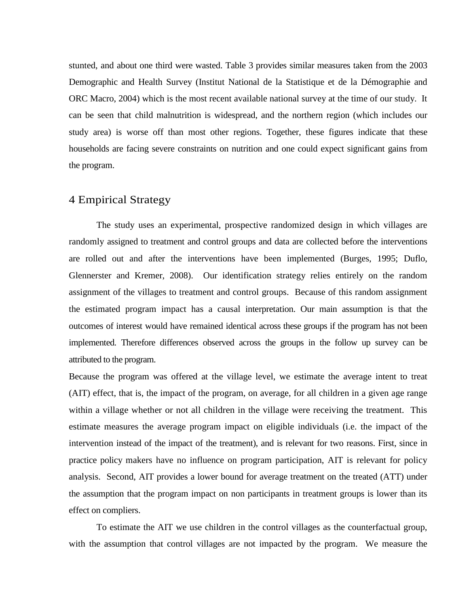stunted, and about one third were wasted. Table 3 provides similar measures taken from the 2003 Demographic and Health Survey (Institut National de la Statistique et de la Démographie and ORC Macro, 2004) which is the most recent available national survey at the time of our study. It can be seen that child malnutrition is widespread, and the northern region (which includes our study area) is worse off than most other regions. Together, these figures indicate that these households are facing severe constraints on nutrition and one could expect significant gains from the program.

## 4 Empirical Strategy

The study uses an experimental, prospective randomized design in which villages are randomly assigned to treatment and control groups and data are collected before the interventions are rolled out and after the interventions have been implemented (Burges, 1995; Duflo, Glennerster and Kremer, 2008). Our identification strategy relies entirely on the random assignment of the villages to treatment and control groups. Because of this random assignment the estimated program impact has a causal interpretation. Our main assumption is that the outcomes of interest would have remained identical across these groups if the program has not been implemented. Therefore differences observed across the groups in the follow up survey can be attributed to the program.

Because the program was offered at the village level, we estimate the average intent to treat (AIT) effect, that is, the impact of the program, on average, for all children in a given age range within a village whether or not all children in the village were receiving the treatment. This estimate measures the average program impact on eligible individuals (i.e. the impact of the intervention instead of the impact of the treatment), and is relevant for two reasons. First, since in practice policy makers have no influence on program participation, AIT is relevant for policy analysis. Second, AIT provides a lower bound for average treatment on the treated (ATT) under the assumption that the program impact on non participants in treatment groups is lower than its effect on compliers.

To estimate the AIT we use children in the control villages as the counterfactual group, with the assumption that control villages are not impacted by the program. We measure the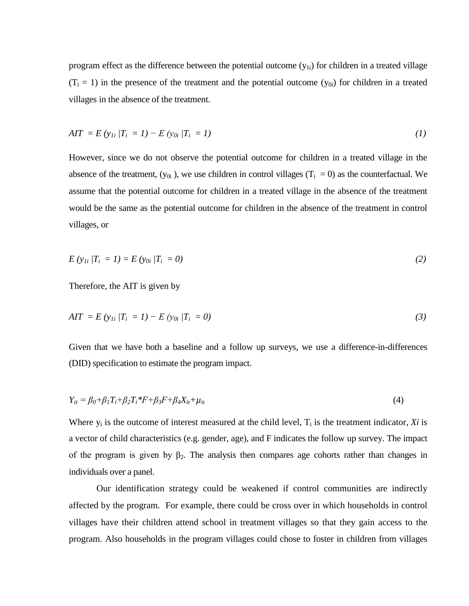program effect as the difference between the potential outcome  $(y_{1i})$  for children in a treated village  $(T_i = 1)$  in the presence of the treatment and the potential outcome  $(y_{0i})$  for children in a treated villages in the absence of the treatment.

$$
AIT = E (y_{1i} | T_i = 1) - E (y_{0i} | T_i = 1)
$$
\n(1)

However, since we do not observe the potential outcome for children in a treated village in the absence of the treatment,  $(y_{0i})$ , we use children in control villages  $(T_i = 0)$  as the counterfactual. We assume that the potential outcome for children in a treated village in the absence of the treatment would be the same as the potential outcome for children in the absence of the treatment in control villages, or

$$
E(y_{1i} | T_i = 1) = E(y_{0i} | T_i = 0)
$$
\n(2)

Therefore, the AIT is given by

$$
AIT = E (y_{1i} | T_i = 1) - E (y_{0i} | T_i = 0)
$$
\n(3)

Given that we have both a baseline and a follow up surveys, we use a difference-in-differences (DID) specification to estimate the program impact.

$$
Y_{it} = \beta_0 + \beta_1 T_i + \beta_2 T_i * F + \beta_3 F + \beta_4 X_{it} + \mu_{it}
$$
\n(4)

Where  $y_i$  is the outcome of interest measured at the child level,  $T_i$  is the treatment indicator, *Xi* is a vector of child characteristics (e.g. gender, age), and F indicates the follow up survey. The impact of the program is given by  $\beta_2$ . The analysis then compares age cohorts rather than changes in individuals over a panel.

Our identification strategy could be weakened if control communities are indirectly affected by the program. For example, there could be cross over in which households in control villages have their children attend school in treatment villages so that they gain access to the program. Also households in the program villages could chose to foster in children from villages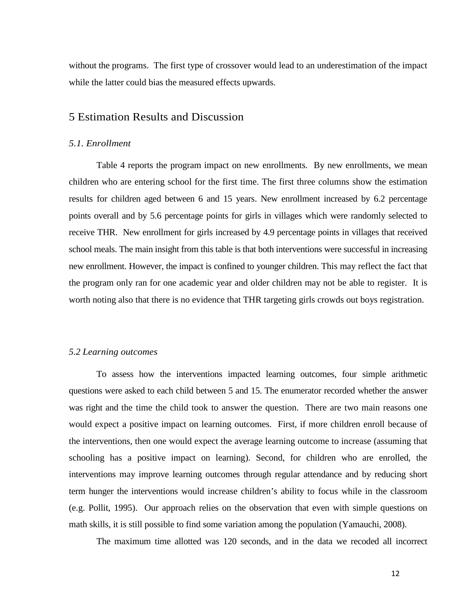without the programs. The first type of crossover would lead to an underestimation of the impact while the latter could bias the measured effects upwards.

## 5 Estimation Results and Discussion

#### *5.1. Enrollment*

Table 4 reports the program impact on new enrollments. By new enrollments, we mean children who are entering school for the first time. The first three columns show the estimation results for children aged between 6 and 15 years. New enrollment increased by 6.2 percentage points overall and by 5.6 percentage points for girls in villages which were randomly selected to receive THR. New enrollment for girls increased by 4.9 percentage points in villages that received school meals. The main insight from this table is that both interventions were successful in increasing new enrollment. However, the impact is confined to younger children. This may reflect the fact that the program only ran for one academic year and older children may not be able to register. It is worth noting also that there is no evidence that THR targeting girls crowds out boys registration.

#### *5.2 Learning outcomes*

To assess how the interventions impacted learning outcomes, four simple arithmetic questions were asked to each child between 5 and 15. The enumerator recorded whether the answer was right and the time the child took to answer the question. There are two main reasons one would expect a positive impact on learning outcomes. First, if more children enroll because of the interventions, then one would expect the average learning outcome to increase (assuming that schooling has a positive impact on learning). Second, for children who are enrolled, the interventions may improve learning outcomes through regular attendance and by reducing short term hunger the interventions would increase children's ability to focus while in the classroom (e.g. Pollit, 1995). Our approach relies on the observation that even with simple questions on math skills, it is still possible to find some variation among the population (Yamauchi, 2008).

The maximum time allotted was 120 seconds, and in the data we recoded all incorrect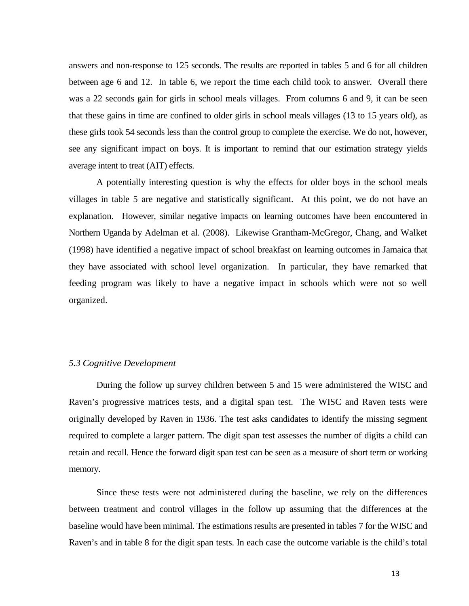answers and non-response to 125 seconds. The results are reported in tables 5 and 6 for all children between age 6 and 12. In table 6, we report the time each child took to answer. Overall there was a 22 seconds gain for girls in school meals villages. From columns 6 and 9, it can be seen that these gains in time are confined to older girls in school meals villages (13 to 15 years old), as these girls took 54 seconds less than the control group to complete the exercise. We do not, however, see any significant impact on boys. It is important to remind that our estimation strategy yields average intent to treat (AIT) effects.

A potentially interesting question is why the effects for older boys in the school meals villages in table 5 are negative and statistically significant. At this point, we do not have an explanation. However, similar negative impacts on learning outcomes have been encountered in Northern Uganda by Adelman et al. (2008). Likewise Grantham-McGregor, Chang, and Walket (1998) have identified a negative impact of school breakfast on learning outcomes in Jamaica that they have associated with school level organization. In particular, they have remarked that feeding program was likely to have a negative impact in schools which were not so well organized.

#### *5.3 Cognitive Development*

During the follow up survey children between 5 and 15 were administered the WISC and Raven's progressive matrices tests, and a digital span test. The WISC and Raven tests were originally developed by Raven in 1936. The test asks candidates to identify the missing segment required to complete a larger pattern. The digit span test assesses the number of digits a child can retain and recall. Hence the forward digit span test can be seen as a measure of short term or working memory.

Since these tests were not administered during the baseline, we rely on the differences between treatment and control villages in the follow up assuming that the differences at the baseline would have been minimal. The estimations results are presented in tables 7 for the WISC and Raven's and in table 8 for the digit span tests. In each case the outcome variable is the child's total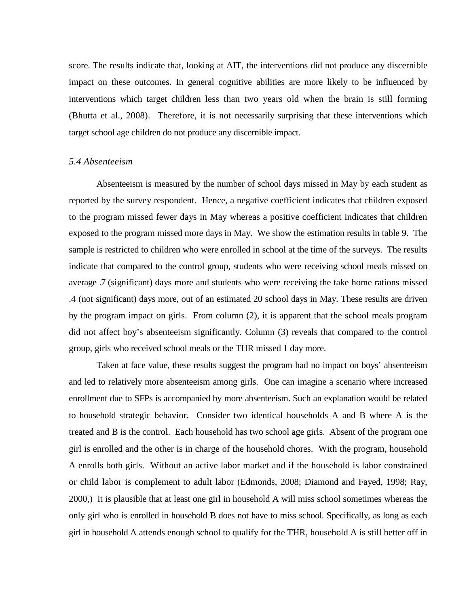score. The results indicate that, looking at AIT, the interventions did not produce any discernible impact on these outcomes. In general cognitive abilities are more likely to be influenced by interventions which target children less than two years old when the brain is still forming (Bhutta et al., 2008). Therefore, it is not necessarily surprising that these interventions which target school age children do not produce any discernible impact.

#### *5.4 Absenteeism*

Absenteeism is measured by the number of school days missed in May by each student as reported by the survey respondent. Hence, a negative coefficient indicates that children exposed to the program missed fewer days in May whereas a positive coefficient indicates that children exposed to the program missed more days in May. We show the estimation results in table 9. The sample is restricted to children who were enrolled in school at the time of the surveys. The results indicate that compared to the control group, students who were receiving school meals missed on average .7 (significant) days more and students who were receiving the take home rations missed .4 (not significant) days more, out of an estimated 20 school days in May. These results are driven by the program impact on girls. From column (2), it is apparent that the school meals program did not affect boy's absenteeism significantly. Column (3) reveals that compared to the control group, girls who received school meals or the THR missed 1 day more.

Taken at face value, these results suggest the program had no impact on boys' absenteeism and led to relatively more absenteeism among girls. One can imagine a scenario where increased enrollment due to SFPs is accompanied by more absenteeism. Such an explanation would be related to household strategic behavior. Consider two identical households A and B where A is the treated and B is the control. Each household has two school age girls. Absent of the program one girl is enrolled and the other is in charge of the household chores. With the program, household A enrolls both girls. Without an active labor market and if the household is labor constrained or child labor is complement to adult labor (Edmonds, 2008; Diamond and Fayed, 1998; Ray, 2000,) it is plausible that at least one girl in household A will miss school sometimes whereas the only girl who is enrolled in household B does not have to miss school. Specifically, as long as each girl in household A attends enough school to qualify for the THR, household A is still better off in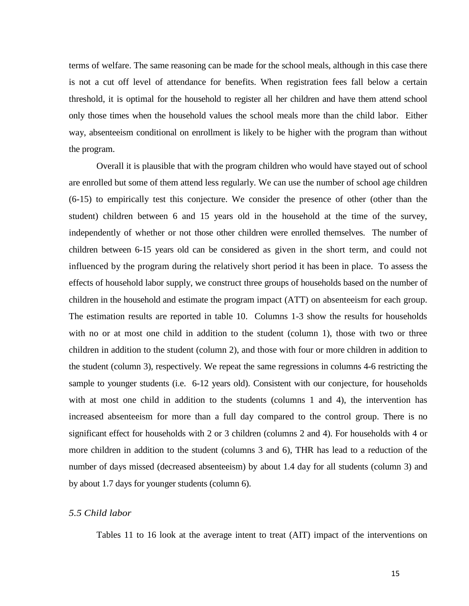terms of welfare. The same reasoning can be made for the school meals, although in this case there is not a cut off level of attendance for benefits. When registration fees fall below a certain threshold, it is optimal for the household to register all her children and have them attend school only those times when the household values the school meals more than the child labor. Either way, absenteeism conditional on enrollment is likely to be higher with the program than without the program.

Overall it is plausible that with the program children who would have stayed out of school are enrolled but some of them attend less regularly. We can use the number of school age children (6-15) to empirically test this conjecture. We consider the presence of other (other than the student) children between 6 and 15 years old in the household at the time of the survey, independently of whether or not those other children were enrolled themselves. The number of children between 6-15 years old can be considered as given in the short term, and could not influenced by the program during the relatively short period it has been in place. To assess the effects of household labor supply, we construct three groups of households based on the number of children in the household and estimate the program impact (ATT) on absenteeism for each group. The estimation results are reported in table 10. Columns 1-3 show the results for households with no or at most one child in addition to the student (column 1), those with two or three children in addition to the student (column 2), and those with four or more children in addition to the student (column 3), respectively. We repeat the same regressions in columns 4-6 restricting the sample to younger students (i.e. 6-12 years old). Consistent with our conjecture, for households with at most one child in addition to the students (columns 1 and 4), the intervention has increased absenteeism for more than a full day compared to the control group. There is no significant effect for households with 2 or 3 children (columns 2 and 4). For households with 4 or more children in addition to the student (columns 3 and 6), THR has lead to a reduction of the number of days missed (decreased absenteeism) by about 1.4 day for all students (column 3) and by about 1.7 days for younger students (column 6).

#### *5.5 Child labor*

Tables 11 to 16 look at the average intent to treat (AIT) impact of the interventions on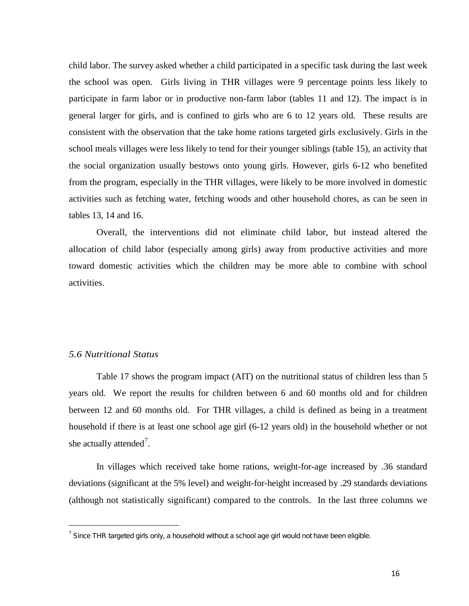child labor. The survey asked whether a child participated in a specific task during the last week the school was open. Girls living in THR villages were 9 percentage points less likely to participate in farm labor or in productive non-farm labor (tables 11 and 12). The impact is in general larger for girls, and is confined to girls who are 6 to 12 years old. These results are consistent with the observation that the take home rations targeted girls exclusively. Girls in the school meals villages were less likely to tend for their younger siblings (table 15), an activity that the social organization usually bestows onto young girls. However, girls 6-12 who benefited from the program, especially in the THR villages, were likely to be more involved in domestic activities such as fetching water, fetching woods and other household chores, as can be seen in tables 13, 14 and 16.

Overall, the interventions did not eliminate child labor, but instead altered the allocation of child labor (especially among girls) away from productive activities and more toward domestic activities which the children may be more able to combine with school activities.

#### *5.6 Nutritional Status*

ı

Table 17 shows the program impact (AIT) on the nutritional status of children less than 5 years old. We report the results for children between 6 and 60 months old and for children between 12 and 60 months old. For THR villages, a child is defined as being in a treatment household if there is at least one school age girl (6-12 years old) in the household whether or not she actually attended<sup>[7](#page-17-0)</sup>.

In villages which received take home rations, weight-for-age increased by .36 standard deviations (significant at the 5% level) and weight-for-height increased by .29 standards deviations (although not statistically significant) compared to the controls. In the last three columns we

<span id="page-17-0"></span> $<sup>7</sup>$  Since THR targeted girls only, a household without a school age girl would not have been eligible.</sup>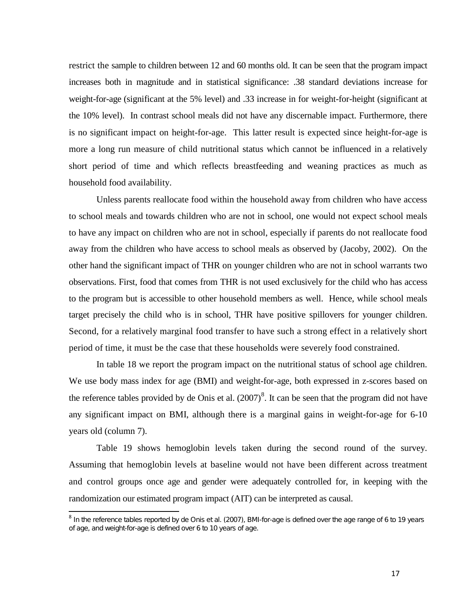restrict the sample to children between 12 and 60 months old. It can be seen that the program impact increases both in magnitude and in statistical significance: .38 standard deviations increase for weight-for-age (significant at the 5% level) and .33 increase in for weight-for-height (significant at the 10% level). In contrast school meals did not have any discernable impact. Furthermore, there is no significant impact on height-for-age. This latter result is expected since height-for-age is more a long run measure of child nutritional status which cannot be influenced in a relatively short period of time and which reflects breastfeeding and weaning practices as much as household food availability.

Unless parents reallocate food within the household away from children who have access to school meals and towards children who are not in school, one would not expect school meals to have any impact on children who are not in school, especially if parents do not reallocate food away from the children who have access to school meals as observed by (Jacoby, 2002). On the other hand the significant impact of THR on younger children who are not in school warrants two observations. First, food that comes from THR is not used exclusively for the child who has access to the program but is accessible to other household members as well. Hence, while school meals target precisely the child who is in school, THR have positive spillovers for younger children. Second, for a relatively marginal food transfer to have such a strong effect in a relatively short period of time, it must be the case that these households were severely food constrained.

In table 18 we report the program impact on the nutritional status of school age children. We use body mass index for age (BMI) and weight-for-age, both expressed in z-scores based on the reference tables provided by de Onis et al.  $(2007)^8$  $(2007)^8$ . It can be seen that the program did not have any significant impact on BMI, although there is a marginal gains in weight-for-age for 6-10 years old (column 7).

Table 19 shows hemoglobin levels taken during the second round of the survey. Assuming that hemoglobin levels at baseline would not have been different across treatment and control groups once age and gender were adequately controlled for, in keeping with the randomization our estimated program impact (AIT) can be interpreted as causal.

 $\overline{\phantom{0}}$ 

<span id="page-18-0"></span> $^8$  In the reference tables reported by de Onis et al. (2007), BMI-for-age is defined over the age range of 6 to 19 years of age, and weight-for-age is defined over 6 to 10 years of age.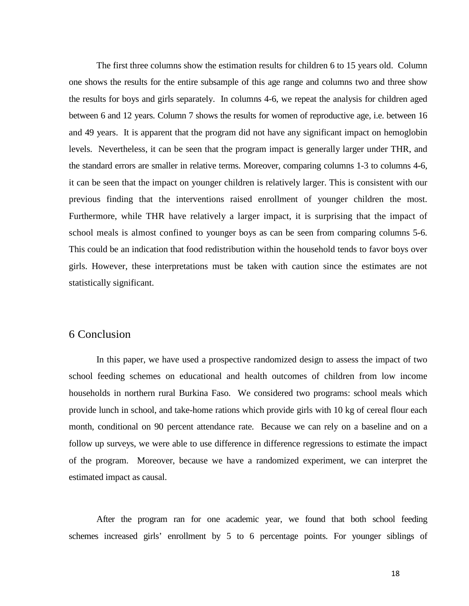The first three columns show the estimation results for children 6 to 15 years old. Column one shows the results for the entire subsample of this age range and columns two and three show the results for boys and girls separately. In columns 4-6, we repeat the analysis for children aged between 6 and 12 years. Column 7 shows the results for women of reproductive age, i.e. between 16 and 49 years. It is apparent that the program did not have any significant impact on hemoglobin levels. Nevertheless, it can be seen that the program impact is generally larger under THR, and the standard errors are smaller in relative terms. Moreover, comparing columns 1-3 to columns 4-6, it can be seen that the impact on younger children is relatively larger. This is consistent with our previous finding that the interventions raised enrollment of younger children the most. Furthermore, while THR have relatively a larger impact, it is surprising that the impact of school meals is almost confined to younger boys as can be seen from comparing columns 5-6. This could be an indication that food redistribution within the household tends to favor boys over girls. However, these interpretations must be taken with caution since the estimates are not statistically significant.

## 6 Conclusion

In this paper, we have used a prospective randomized design to assess the impact of two school feeding schemes on educational and health outcomes of children from low income households in northern rural Burkina Faso. We considered two programs: school meals which provide lunch in school, and take-home rations which provide girls with 10 kg of cereal flour each month, conditional on 90 percent attendance rate. Because we can rely on a baseline and on a follow up surveys, we were able to use difference in difference regressions to estimate the impact of the program. Moreover, because we have a randomized experiment, we can interpret the estimated impact as causal.

After the program ran for one academic year, we found that both school feeding schemes increased girls' enrollment by 5 to 6 percentage points. For younger siblings of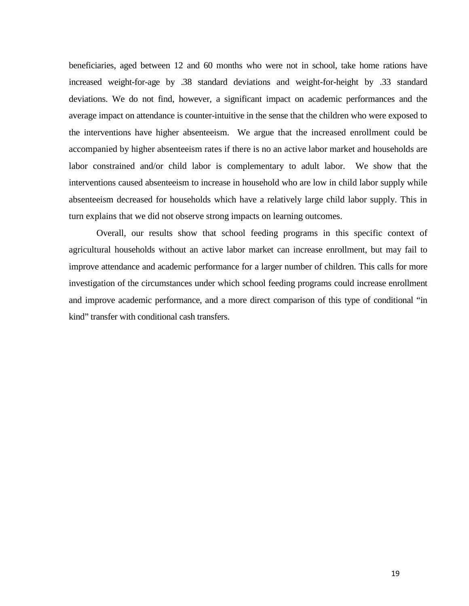beneficiaries, aged between 12 and 60 months who were not in school, take home rations have increased weight-for-age by .38 standard deviations and weight-for-height by .33 standard deviations. We do not find, however, a significant impact on academic performances and the average impact on attendance is counter-intuitive in the sense that the children who were exposed to the interventions have higher absenteeism. We argue that the increased enrollment could be accompanied by higher absenteeism rates if there is no an active labor market and households are labor constrained and/or child labor is complementary to adult labor. We show that the interventions caused absenteeism to increase in household who are low in child labor supply while absenteeism decreased for households which have a relatively large child labor supply. This in turn explains that we did not observe strong impacts on learning outcomes.

Overall, our results show that school feeding programs in this specific context of agricultural households without an active labor market can increase enrollment, but may fail to improve attendance and academic performance for a larger number of children. This calls for more investigation of the circumstances under which school feeding programs could increase enrollment and improve academic performance, and a more direct comparison of this type of conditional "in kind" transfer with conditional cash transfers.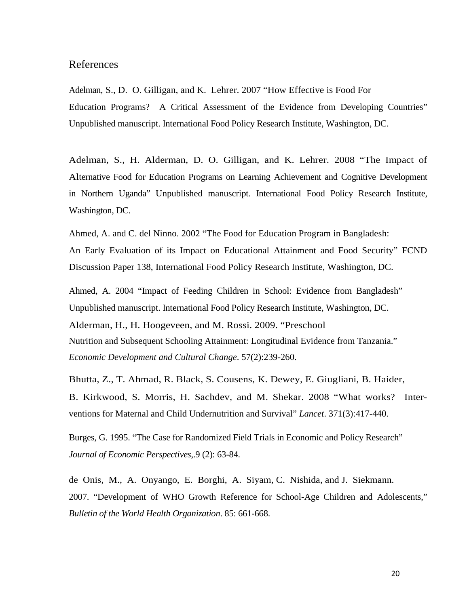## References

Adelman, S., D. O. Gilligan, and K. Lehrer. 2007 "How Effective is Food For Education Programs? A Critical Assessment of the Evidence from Developing Countries" Unpublished manuscript. International Food Policy Research Institute, Washington, DC.

Adelman, S., H. Alderman, D. O. Gilligan, and K. Lehrer. 2008 "The Impact of Alternative Food for Education Programs on Learning Achievement and Cognitive Development in Northern Uganda" Unpublished manuscript. International Food Policy Research Institute, Washington, DC.

Ahmed, A. and C. del Ninno. 2002 "The Food for Education Program in Bangladesh: An Early Evaluation of its Impact on Educational Attainment and Food Security" FCND Discussion Paper 138, International Food Policy Research Institute, Washington, DC.

Ahmed, A. 2004 "Impact of Feeding Children in School: Evidence from Bangladesh" Unpublished manuscript. International Food Policy Research Institute, Washington, DC.

Alderman, H., H. Hoogeveen, and M. Rossi. 2009. "Preschool Nutrition and Subsequent Schooling Attainment: Longitudinal Evidence from Tanzania." *Economic Development and Cultural Change*. 57(2):239-260.

Bhutta, Z., T. Ahmad, R. Black, S. Cousens, K. Dewey, E. Giugliani, B. Haider, B. Kirkwood, S. Morris, H. Sachdev, and M. Shekar. 2008 "What works? Interventions for Maternal and Child Undernutrition and Survival" *Lancet*. 371(3):417-440.

Burges, G. 1995. "The Case for Randomized Field Trials in Economic and Policy Research" *Journal of Economic Perspectives*,.9 (2): 63-84.

de Onis, M., A. Onyango, E. Borghi, A. Siyam, C. Nishida, and J. Siekmann. 2007. "Development of WHO Growth Reference for School-Age Children and Adolescents," *Bulletin of the World Health Organization*. 85: 661-668.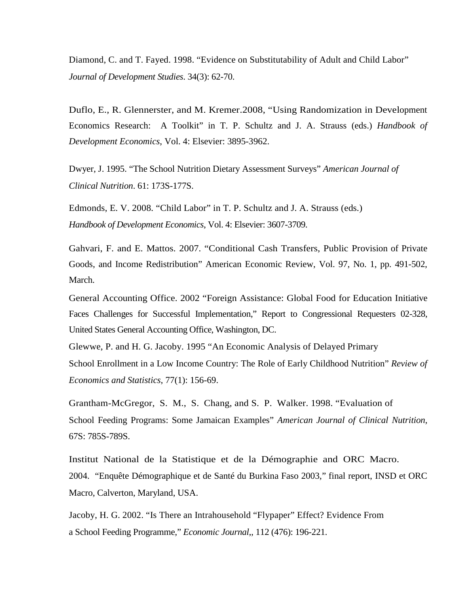Diamond, C. and T. Fayed. 1998. "Evidence on Substitutability of Adult and Child Labor" *Journal of Development Studies*. 34(3): 62-70.

Duflo, E., R. Glennerster, and M. Kremer.2008, "Using Randomization in Development Economics Research: A Toolkit" in T. P. Schultz and J. A. Strauss (eds.) *Handbook of Development Economics*, Vol. 4: Elsevier: 3895-3962.

Dwyer, J. 1995. "The School Nutrition Dietary Assessment Surveys" *American Journal of Clinical Nutrition*. 61: 173S-177S.

Edmonds, E. V. 2008. "Child Labor" in T. P. Schultz and J. A. Strauss (eds.) *Handbook of Development Economics*, Vol. 4: Elsevier: 3607-3709.

Gahvari, F. and E. Mattos. 2007. "Conditional Cash Transfers, Public Provision of Private Goods, and Income Redistribution" American Economic Review, Vol. 97, No. 1, pp. 491-502, March.

General Accounting Office. 2002 "Foreign Assistance: Global Food for Education Initiative Faces Challenges for Successful Implementation," Report to Congressional Requesters 02-328, United States General Accounting Office, Washington, DC.

Glewwe, P. and H. G. Jacoby. 1995 "An Economic Analysis of Delayed Primary School Enrollment in a Low Income Country: The Role of Early Childhood Nutrition" *Review of Economics and Statistics*, 77(1): 156-69.

Grantham-McGregor, S. M., S. Chang, and S. P. Walker. 1998. "Evaluation of School Feeding Programs: Some Jamaican Examples" *American Journal of Clinical Nutrition*, 67S: 785S-789S.

Institut National de la Statistique et de la Démographie and ORC Macro. 2004. "Enquête Démographique et de Santé du Burkina Faso 2003," final report, INSD et ORC Macro, Calverton, Maryland, USA.

Jacoby, H. G. 2002. "Is There an Intrahousehold "Flypaper" Effect? Evidence From a School Feeding Programme," *Economic Journal*,, 112 (476): 196-221.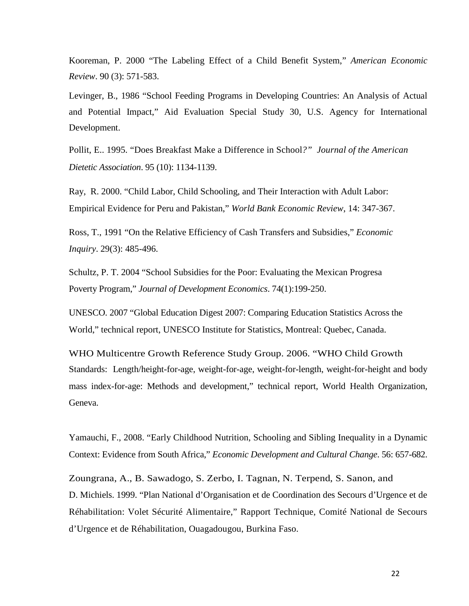Kooreman, P. 2000 "The Labeling Effect of a Child Benefit System," *American Economic Review*. 90 (3): 571-583.

Levinger, B., 1986 "School Feeding Programs in Developing Countries: An Analysis of Actual and Potential Impact," Aid Evaluation Special Study 30, U.S. Agency for International Development.

Pollit, E.. 1995. "Does Breakfast Make a Difference in School*?" Journal of the American Dietetic Association*. 95 (10): 1134-1139.

Ray, R. 2000. "Child Labor, Child Schooling, and Their Interaction with Adult Labor: Empirical Evidence for Peru and Pakistan," *World Bank Economic Review*, 14: 347-367.

Ross, T., 1991 "On the Relative Efficiency of Cash Transfers and Subsidies," *Economic Inquiry*. 29(3): 485-496.

Schultz, P. T. 2004 "School Subsidies for the Poor: Evaluating the Mexican Progresa Poverty Program," *Journal of Development Economics*. 74(1):199-250.

UNESCO. 2007 "Global Education Digest 2007: Comparing Education Statistics Across the World," technical report, UNESCO Institute for Statistics, Montreal: Quebec, Canada.

WHO Multicentre Growth Reference Study Group. 2006. "WHO Child Growth Standards: Length/height-for-age, weight-for-age, weight-for-length, weight-for-height and body mass index-for-age: Methods and development," technical report, World Health Organization, Geneva.

Yamauchi, F., 2008. "Early Childhood Nutrition, Schooling and Sibling Inequality in a Dynamic Context: Evidence from South Africa," *Economic Development and Cultural Change*. 56: 657-682.

Zoungrana, A., B. Sawadogo, S. Zerbo, I. Tagnan, N. Terpend, S. Sanon, and D. Michiels. 1999. "Plan National d'Organisation et de Coordination des Secours d'Urgence et de Réhabilitation: Volet Sécurité Alimentaire," Rapport Technique, Comité National de Secours d'Urgence et de Réhabilitation, Ouagadougou, Burkina Faso.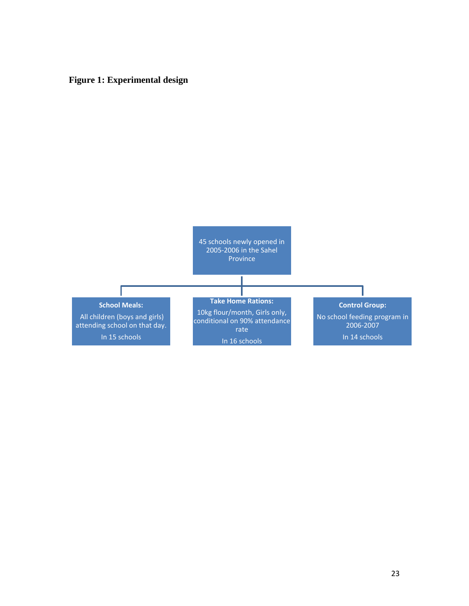## **Figure 1: Experimental design**

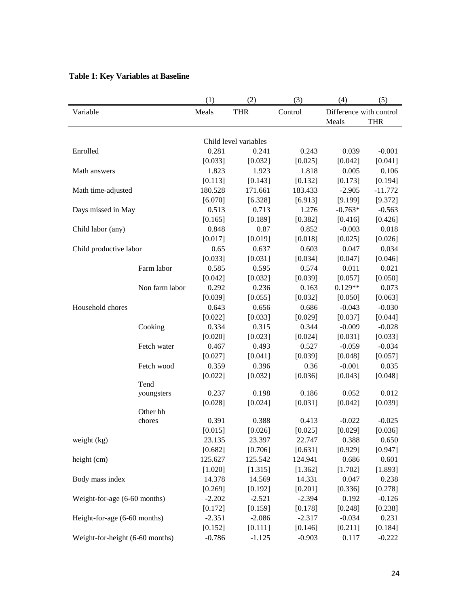|                                 |                | (1)                 | (2)                   | (3)               | (4)                     | (5)                 |
|---------------------------------|----------------|---------------------|-----------------------|-------------------|-------------------------|---------------------|
| Variable                        |                | Meals               | <b>THR</b>            | Control           | Difference with control |                     |
|                                 |                |                     |                       |                   | Meals                   | <b>THR</b>          |
|                                 |                |                     |                       |                   |                         |                     |
|                                 |                |                     | Child level variables |                   |                         |                     |
| Enrolled                        |                | 0.281               | 0.241                 | 0.243             | 0.039                   | $-0.001$            |
|                                 |                | [0.033]             | [0.032]               | [0.025]           | [0.042]                 | [0.041]             |
| Math answers                    |                | 1.823               | 1.923                 | 1.818             | 0.005                   | 0.106               |
|                                 |                | [0.113]             | [0.143]               | [0.132]           | [0.173]                 | [0.194]             |
| Math time-adjusted              |                | 180.528             | 171.661               | 183.433           | $-2.905$                | $-11.772$           |
|                                 |                | [6.070]             | [6.328]               | [6.913]           | [9.199]                 | [9.372]             |
| Days missed in May              |                | 0.513               | 0.713                 | 1.276             | $-0.763*$               | $-0.563$            |
|                                 |                | [0.165]             | [0.189]               | [0.382]           | [0.416]                 | [0.426]             |
| Child labor (any)               |                | 0.848               | 0.87                  | 0.852             | $-0.003$                | 0.018               |
|                                 |                | [0.017]             | [0.019]               | [0.018]           | [0.025]                 | [0.026]             |
| Child productive labor          |                | 0.65                | 0.637                 | 0.603             | 0.047                   | 0.034               |
|                                 |                | [0.033]             | [0.031]               | [0.034]           | [0.047]                 | [0.046]             |
|                                 | Farm labor     | 0.585               | 0.595                 | 0.574             | 0.011                   | 0.021               |
|                                 |                | [0.042]             | [0.032]               | [0.039]           | [0.057]                 | [0.050]             |
|                                 | Non farm labor | 0.292               | 0.236                 | 0.163             | $0.129**$               | 0.073               |
|                                 |                | [0.039]             | [0.055]               | [0.032]           | [0.050]                 | [0.063]             |
| Household chores                |                | 0.643               | 0.656                 | 0.686             | $-0.043$                | $-0.030$            |
|                                 |                | [0.022]             | [0.033]               | [0.029]           | [0.037]                 | [0.044]             |
|                                 | Cooking        | 0.334               | 0.315                 | 0.344             | $-0.009$                | $-0.028$            |
|                                 |                | [0.020]             | [0.023]               | [0.024]           | [0.031]                 | [0.033]             |
|                                 | Fetch water    | 0.467               | 0.493                 | 0.527             | $-0.059$                | $-0.034$            |
|                                 |                | [0.027]             | [0.041]               | [0.039]           | [0.048]                 | [0.057]             |
|                                 | Fetch wood     | 0.359               | 0.396                 | 0.36              | $-0.001$                | 0.035               |
|                                 |                | [0.022]             | [0.032]               | [0.036]           | [0.043]                 | [0.048]             |
|                                 | Tend           |                     |                       |                   |                         |                     |
|                                 | youngsters     | 0.237               | 0.198                 | 0.186             | 0.052                   | 0.012               |
|                                 |                | [0.028]             | [0.024]               | [0.031]           | [0.042]                 | [0.039]             |
|                                 | Other hh       |                     | 0.388                 |                   |                         |                     |
|                                 | chores         | 0.391               |                       | 0.413             | $-0.022$                | $-0.025$            |
|                                 |                | [0.015]             | [0.026]               | [0.025]           | [0.029]                 | [0.036]             |
| weight (kg)                     |                | 23.135              | 23.397                | 22.747            | 0.388                   | 0.650               |
|                                 |                | [0.682]<br>125.627  | [0.706]<br>125.542    | [0.631]           | [0.929]                 | [0.947]             |
| height (cm)                     |                |                     | [1.315]               | 124.941           | 0.686                   | 0.601<br>[1.893]    |
|                                 |                | [1.020]<br>14.378   | 14.569                | [1.362]<br>14.331 | [1.702]                 |                     |
| Body mass index                 |                |                     |                       | [0.201]           | 0.047                   | 0.238               |
|                                 |                | [0.269]<br>$-2.202$ | [0.192]<br>$-2.521$   | $-2.394$          | [0.336]<br>0.192        | [0.278]<br>$-0.126$ |
| Weight-for-age (6-60 months)    |                |                     |                       |                   |                         |                     |
|                                 |                | [0.172]             | [0.159]               | [0.178]           | [0.248]                 | [0.238]             |
| Height-for-age (6-60 months)    |                | $-2.351$            | $-2.086$              | $-2.317$          | $-0.034$                | 0.231               |
|                                 |                | [0.152]             | [0.111]               | [0.146]           | [0.211]                 | [0.184]             |
| Weight-for-height (6-60 months) |                | $-0.786$            | $-1.125$              | $-0.903$          | 0.117                   | $-0.222$            |

## **Table 1: Key Variables at Baseline**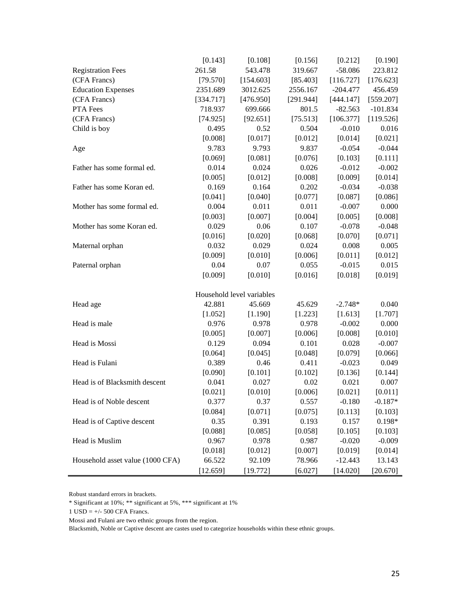|                                  | [0.143]   | [0.108]                   | [0.156]   | [0.212]    | [0.190]    |
|----------------------------------|-----------|---------------------------|-----------|------------|------------|
| <b>Registration Fees</b>         | 261.58    | 543.478                   | 319.667   | $-58.086$  | 223.812    |
| (CFA Francs)                     | [79.570]  | [154.603]                 | [85.403]  | [116.727]  | [176.623]  |
| <b>Education Expenses</b>        | 2351.689  | 3012.625                  | 2556.167  | $-204.477$ | 456.459    |
| (CFA Francs)                     | [334.717] | [476.950]                 | [291.944] | [444.147]  | [559.207]  |
| PTA Fees                         | 718.937   | 699.666                   | 801.5     | $-82.563$  | $-101.834$ |
| (CFA Francs)                     | [74.925]  | [92.651]                  | [75.513]  | [106.377]  | [119.526]  |
| Child is boy                     | 0.495     | 0.52                      | 0.504     | $-0.010$   | 0.016      |
|                                  | [0.008]   | [0.017]                   | [0.012]   | [0.014]    | [0.021]    |
| Age                              | 9.783     | 9.793                     | 9.837     | $-0.054$   | $-0.044$   |
|                                  | [0.069]   | [0.081]                   | [0.076]   | [0.103]    | [0.111]    |
| Father has some formal ed.       | 0.014     | 0.024                     | 0.026     | $-0.012$   | $-0.002$   |
|                                  | [0.005]   | [0.012]                   | [0.008]   | [0.009]    | [0.014]    |
| Father has some Koran ed.        | 0.169     | 0.164                     | 0.202     | $-0.034$   | $-0.038$   |
|                                  | [0.041]   | [0.040]                   | [0.077]   | [0.087]    | [0.086]    |
| Mother has some formal ed.       | 0.004     | 0.011                     | 0.011     | $-0.007$   | 0.000      |
|                                  | [0.003]   | [0.007]                   | [0.004]   | [0.005]    | [0.008]    |
| Mother has some Koran ed.        | 0.029     | 0.06                      | 0.107     | $-0.078$   | $-0.048$   |
|                                  | [0.016]   | [0.020]                   | [0.068]   | [0.070]    | [0.071]    |
| Maternal orphan                  | 0.032     | 0.029                     | 0.024     | 0.008      | 0.005      |
|                                  | [0.009]   | [0.010]                   | [0.006]   | [0.011]    | [0.012]    |
| Paternal orphan                  | 0.04      | 0.07                      | 0.055     | $-0.015$   | 0.015      |
|                                  | [0.009]   | [0.010]                   | [0.016]   | [0.018]    | [0.019]    |
|                                  |           | Household level variables |           |            |            |
| Head age                         | 42.881    | 45.669                    | 45.629    | $-2.748*$  | 0.040      |
|                                  | [1.052]   | [1.190]                   | [1.223]   | [1.613]    | [1.707]    |
| Head is male                     | 0.976     | 0.978                     | 0.978     | $-0.002$   | 0.000      |
|                                  | [0.005]   | [0.007]                   | [0.006]   | [0.008]    | [0.010]    |
| Head is Mossi                    | 0.129     | 0.094                     | 0.101     | 0.028      | $-0.007$   |
|                                  | [0.064]   | [0.045]                   | [0.048]   | [0.079]    | [0.066]    |
| Head is Fulani                   | 0.389     | 0.46                      | 0.411     | $-0.023$   | 0.049      |
|                                  | [0.090]   | [0.101]                   | [0.102]   | [0.136]    | [0.144]    |
| Head is of Blacksmith descent    | 0.041     | 0.027                     | 0.02      | 0.021      | 0.007      |
|                                  | [0.021]   | [0.010]                   | [0.006]   | [0.021]    | [0.011]    |
| Head is of Noble descent         | 0.377     | 0.37                      | 0.557     | $-0.180$   | $-0.187*$  |
|                                  | [0.084]   | [0.071]                   | [0.075]   | [0.113]    | [0.103]    |
| Head is of Captive descent       | 0.35      | 0.391                     | 0.193     | 0.157      | $0.198*$   |
|                                  | [0.088]   | [0.085]                   | [0.058]   | [0.105]    | [0.103]    |
| Head is Muslim                   | 0.967     | 0.978                     | 0.987     | $-0.020$   | $-0.009$   |
|                                  | [0.018]   | [0.012]                   | [0.007]   | [0.019]    | [0.014]    |
| Household asset value (1000 CFA) | 66.522    | 92.109                    | 78.966    | $-12.443$  | 13.143     |
|                                  | [12.659]  | [19.772]                  | [6.027]   | [14.020]   | [20.670]   |

Robust standard errors in brackets.

1 USD =  $+/-$  500 CFA Francs.

Mossi and Fulani are two ethnic groups from the region.

Blacksmith, Noble or Captive descent are castes used to categorize households within these ethnic groups.

 $\hspace{0.1mm}^*$  Significant at 10%;  $\hspace{0.1mm}^{**}$  significant at 1%  $\hspace{0.1mm}$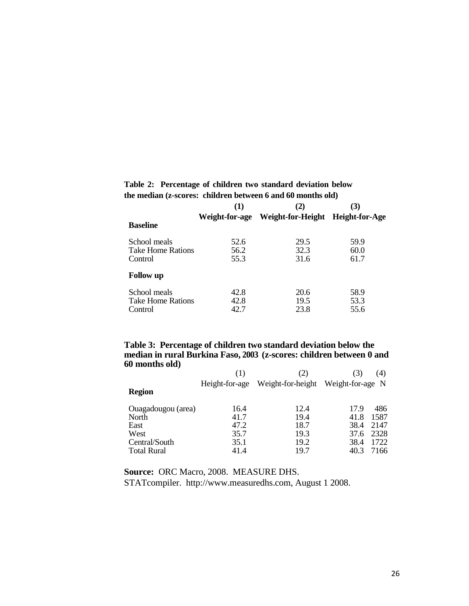|                                                     | (1)                  | (2)                  | (3)                  |
|-----------------------------------------------------|----------------------|----------------------|----------------------|
| <b>Baseline</b>                                     | Weight-for-age       | Weight-for-Height    | Height-for-Age       |
| School meals<br><b>Take Home Rations</b><br>Control | 52.6<br>56.2<br>55.3 | 29.5<br>32.3<br>31.6 | 59.9<br>60.0<br>61.7 |
| <b>Follow</b> up                                    |                      |                      |                      |
| School meals<br>Take Home Rations<br>Control        | 42.8<br>42.8<br>42.7 | 20.6<br>19.5<br>23.8 | 58.9<br>53.3<br>55.6 |

#### **Table 2: Percentage of children two standard deviation below the median (z-scores: children between 6 and 60 months old)**

#### **Table 3: Percentage of children two standard deviation below the median in rural Burkina Faso, 2003 (z-scores: children between 0 and 60 months old)**

|                    | (1)            | (2)               | 3)               | (4)  |
|--------------------|----------------|-------------------|------------------|------|
|                    | Height-for-age | Weight-for-height | Weight-for-age N |      |
| <b>Region</b>      |                |                   |                  |      |
| Ouagadougou (area) | 16.4           | 12.4              | 17.9             | 486  |
| North              | 41.7           | 19.4              | 41.8             | 1587 |
| East               | 47.2           | 18.7              | 38.4             | 2147 |
| West               | 35.7           | 19.3              | 37.6             | 2328 |
| Central/South      | 35.1           | 19.2              | 38.4             | 1722 |
| <b>Total Rural</b> | 41.4           | 19.7              | 40.3             | 7166 |

**Source:** ORC Macro, 2008. MEASURE DHS.

STATcompiler. [http://www.measuredhs.com,](http://www.measuredhs.com/) August 1 2008.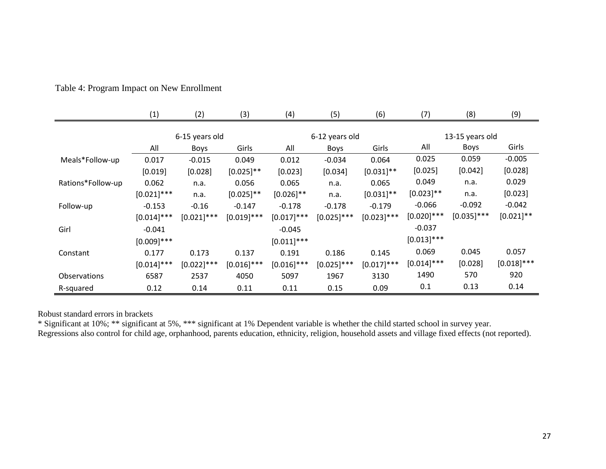|                   | (1)           | (2)            | (3)           | (4)           | (5)            | (6)           | (7)           | (8)             | (9)           |  |
|-------------------|---------------|----------------|---------------|---------------|----------------|---------------|---------------|-----------------|---------------|--|
|                   |               | 6-15 years old |               |               | 6-12 years old |               |               | 13-15 years old |               |  |
|                   | All           | <b>Boys</b>    | Girls         | All           | Boys           | Girls         | All           | Boys            | Girls         |  |
| Meals*Follow-up   | 0.017         | $-0.015$       | 0.049         | 0.012         | $-0.034$       | 0.064         | 0.025         | 0.059           | $-0.005$      |  |
|                   | [0.019]       | [0.028]        | $[0.025]$ **  | [0.023]       | [0.034]        | $[0.031]$ **  | [0.025]       | [0.042]         | [0.028]       |  |
| Rations*Follow-up | 0.062         | n.a.           | 0.056         | 0.065         | n.a.           | 0.065         | 0.049         | n.a.            | 0.029         |  |
|                   | $[0.021]$ *** | n.a.           | $[0.025]$ **  | $[0.026]$ **  | n.a.           | $[0.031]$ **  | $[0.023]$ **  | n.a.            | [0.023]       |  |
| Follow-up         | $-0.153$      | $-0.16$        | $-0.147$      | $-0.178$      | $-0.178$       | $-0.179$      | $-0.066$      | $-0.092$        | $-0.042$      |  |
|                   | $[0.014]$ *** | $[0.021]$ ***  | $[0.019]$ *** | $[0.017]$ *** | $[0.025]$ ***  | $[0.023]$ *** | $[0.020]$ *** | $[0.035]$ ***   | $[0.021]$ **  |  |
| Girl              | $-0.041$      |                |               | $-0.045$      |                |               | $-0.037$      |                 |               |  |
|                   | $[0.009]$ *** |                |               | $[0.011]$ *** |                |               | $[0.013]$ *** |                 |               |  |
| Constant          | 0.177         | 0.173          | 0.137         | 0.191         | 0.186          | 0.145         | 0.069         | 0.045           | 0.057         |  |
|                   | $[0.014]$ *** | $[0.022]$ ***  | $[0.016]$ *** | $[0.016]$ *** | $[0.025]$ ***  | $[0.017]$ *** | $[0.014]$ *** | [0.028]         | $[0.018]$ *** |  |
| Observations      | 6587          | 2537           | 4050          | 5097          | 1967           | 3130          | 1490          | 570             | 920           |  |
| R-squared         | 0.12          | 0.14           | 0.11          | 0.11          | 0.15           | 0.09          | 0.1           | 0.13            | 0.14          |  |

Table 4: Program Impact on New Enrollment

Robust standard errors in brackets

\* Significant at 10%; \*\* significant at 5%, \*\*\* significant at 1% Dependent variable is whether the child started school in survey year. Regressions also control for child age, orphanhood, parents education, ethnicity, religion, household assets and village fixed effects (not reported).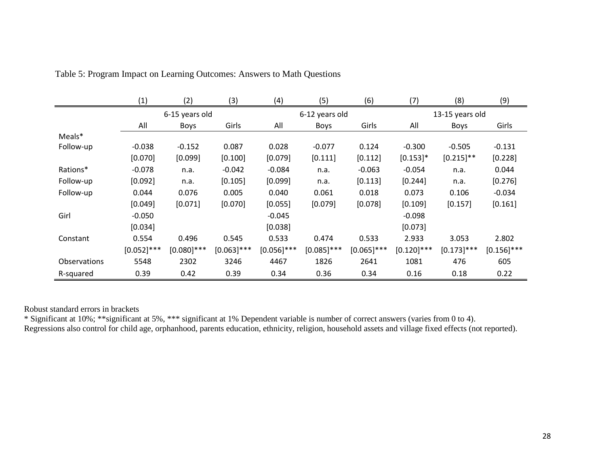|                     | (1)            | (2)           | (3)           | (4)           | (5)            | (6)           | (7)           | (8)             | (9)           |  |
|---------------------|----------------|---------------|---------------|---------------|----------------|---------------|---------------|-----------------|---------------|--|
|                     | 6-15 years old |               |               |               | 6-12 years old |               |               | 13-15 years old |               |  |
|                     | All            | <b>Boys</b>   | Girls         | All           | <b>Boys</b>    | Girls         | All           | <b>Boys</b>     | Girls         |  |
| Meals*              |                |               |               |               |                |               |               |                 |               |  |
| Follow-up           | $-0.038$       | $-0.152$      | 0.087         | 0.028         | $-0.077$       | 0.124         | $-0.300$      | $-0.505$        | $-0.131$      |  |
|                     | [0.070]        | [0.099]       | [0.100]       | [0.079]       | [0.111]        | [0.112]       | $[0.153]$ *   | $[0.215]$ **    | [0.228]       |  |
| Rations*            | $-0.078$       | n.a.          | $-0.042$      | $-0.084$      | n.a.           | $-0.063$      | $-0.054$      | n.a.            | 0.044         |  |
| Follow-up           | [0.092]        | n.a.          | [0.105]       | [0.099]       | n.a.           | [0.113]       | [0.244]       | n.a.            | [0.276]       |  |
| Follow-up           | 0.044          | 0.076         | 0.005         | 0.040         | 0.061          | 0.018         | 0.073         | 0.106           | $-0.034$      |  |
|                     | [0.049]        | [0.071]       | [0.070]       | [0.055]       | [0.079]        | [0.078]       | [0.109]       | [0.157]         | [0.161]       |  |
| Girl                | $-0.050$       |               |               | $-0.045$      |                |               | $-0.098$      |                 |               |  |
|                     | [0.034]        |               |               | [0.038]       |                |               | [0.073]       |                 |               |  |
| Constant            | 0.554          | 0.496         | 0.545         | 0.533         | 0.474          | 0.533         | 2.933         | 3.053           | 2.802         |  |
|                     | $[0.052]$ ***  | $[0.080]$ *** | $[0.063]$ *** | $[0.056]$ *** | $[0.085]$ ***  | $[0.065]$ *** | $[0.120]$ *** | $[0.173]$ ***   | $[0.156]$ *** |  |
| <b>Observations</b> | 5548           | 2302          | 3246          | 4467          | 1826           | 2641          | 1081          | 476             | 605           |  |
| R-squared           | 0.39           | 0.42          | 0.39          | 0.34          | 0.36           | 0.34          | 0.16          | 0.18            | 0.22          |  |

Table 5: Program Impact on Learning Outcomes: Answers to Math Questions

Robust standard errors in brackets

\* Significant at 10%; \*\*significant at 5%, \*\*\* significant at 1% Dependent variable is number of correct answers (varies from 0 to 4). Regressions also control for child age, orphanhood, parents education, ethnicity, religion, household assets and village fixed effects (not reported).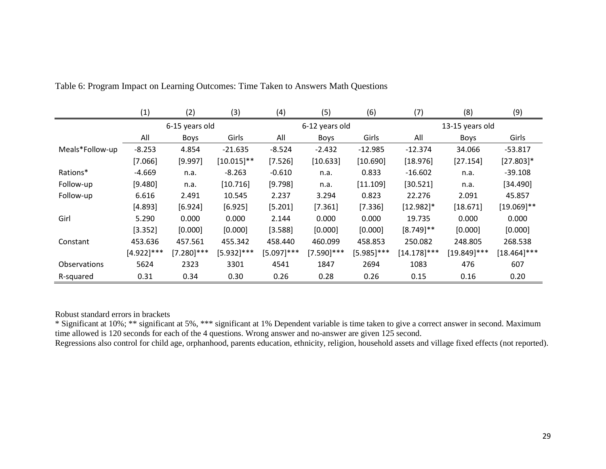|                     | (1)           | (2)            | (3)           | (4)           | (5)            | (6)           | (7)             | (8)            | (9)            |  |
|---------------------|---------------|----------------|---------------|---------------|----------------|---------------|-----------------|----------------|----------------|--|
|                     |               | 6-15 years old |               |               | 6-12 years old |               | 13-15 years old |                |                |  |
|                     | All           | <b>Boys</b>    | Girls         | All           | <b>Boys</b>    | Girls         | All             | <b>Boys</b>    | Girls          |  |
| Meals*Follow-up     | $-8.253$      | 4.854          | $-21.635$     | $-8.524$      | $-2.432$       | $-12.985$     | $-12.374$       | 34.066         | $-53.817$      |  |
|                     | [7.066]       | [9.997]        | $[10.015]$ ** | [7.526]       | [10.633]       | [10.690]      | [18.976]        | [27.154]       | $[27.803]*$    |  |
| Rations*            | $-4.669$      | n.a.           | $-8.263$      | $-0.610$      | n.a.           | 0.833         | $-16.602$       | n.a.           | $-39.108$      |  |
| Follow-up           | [9.480]       | n.a.           | [10.716]      | [9.798]       | n.a.           | [11.109]      | [30.521]        | n.a.           | [34.490]       |  |
| Follow-up           | 6.616         | 2.491          | 10.545        | 2.237         | 3.294          | 0.823         | 22.276          | 2.091          | 45.857         |  |
|                     | [4.893]       | [6.924]        | [6.925]       | [5.201]       | [7.361]        | [7.336]       | $[12.982]$ *    | [18.671]       | $[19.069]$ **  |  |
| Girl                | 5.290         | 0.000          | 0.000         | 2.144         | 0.000          | 0.000         | 19.735          | 0.000          | 0.000          |  |
|                     | [3.352]       | [0.000]        | [0.000]       | [3.588]       | [0.000]        | [0.000]       | $[8.749]$ **    | [0.000]        | [0.000]        |  |
| Constant            | 453.636       | 457.561        | 455.342       | 458.440       | 460.099        | 458.853       | 250.082         | 248.805        | 268.538        |  |
|                     | $[4.922]$ *** | $[7.280]$ ***  | $[5.932]$ *** | $[5.097]$ *** | $[7.590]$ ***  | $[5.985]$ *** | $[14.178]$ ***  | $[19.849]$ *** | $[18.464]$ *** |  |
| <b>Observations</b> | 5624          | 2323           | 3301          | 4541          | 1847           | 2694          | 1083            | 476            | 607            |  |
| R-squared           | 0.31          | 0.34           | 0.30          | 0.26          | 0.28           | 0.26          | 0.15            | 0.16           | 0.20           |  |

Table 6: Program Impact on Learning Outcomes: Time Taken to Answers Math Questions

Robust standard errors in brackets

\* Significant at 10%; \*\* significant at 5%, \*\*\* significant at 1% Dependent variable is time taken to give a correct answer in second. Maximum time allowed is 120 seconds for each of the 4 questions. Wrong answer and no-answer are given 125 second.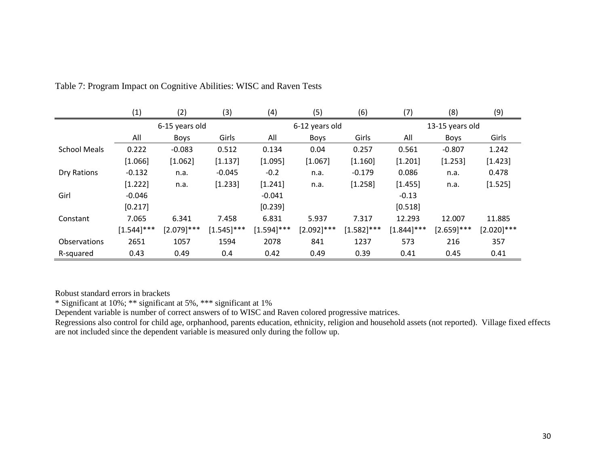|                     | (1)            | (2)           | (3)           | (4)           | (5)            | (6)           | (7)             | (8)           | (9)           |  |
|---------------------|----------------|---------------|---------------|---------------|----------------|---------------|-----------------|---------------|---------------|--|
|                     | 6-15 years old |               |               |               | 6-12 years old |               | 13-15 years old |               |               |  |
|                     | All            | <b>Boys</b>   | Girls         | All           | <b>Boys</b>    | Girls         | All             | <b>Boys</b>   | Girls         |  |
| <b>School Meals</b> | 0.222          | $-0.083$      | 0.512         | 0.134         | 0.04           | 0.257         | 0.561           | $-0.807$      | 1.242         |  |
|                     | [1.066]        | [1.062]       | [1.137]       | [1.095]       | [1.067]        | [1.160]       | [1.201]         | [1.253]       | [1.423]       |  |
| Dry Rations         | $-0.132$       | n.a.          | $-0.045$      | $-0.2$        | n.a.           | $-0.179$      | 0.086           | n.a.          | 0.478         |  |
|                     | [1.222]        | n.a.          | [1.233]       | [1.241]       | n.a.           | [1.258]       | [1.455]         | n.a.          | [1.525]       |  |
| Girl                | $-0.046$       |               |               | $-0.041$      |                |               | $-0.13$         |               |               |  |
|                     | [0.217]        |               |               | [0.239]       |                |               | [0.518]         |               |               |  |
| Constant            | 7.065          | 6.341         | 7.458         | 6.831         | 5.937          | 7.317         | 12.293          | 12.007        | 11.885        |  |
|                     | $[1.544]$ ***  | $[2.079]$ *** | $[1.545]$ *** | $[1.594]$ *** | $[2.092]$ ***  | $[1.582]$ *** | $[1.844]$ ***   | $[2.659]$ *** | $[2.020]$ *** |  |
| Observations        | 2651           | 1057          | 1594          | 2078          | 841            | 1237          | 573             | 216           | 357           |  |
| R-squared           | 0.43           | 0.49          | 0.4           | 0.42          | 0.49           | 0.39          | 0.41            | 0.45          | 0.41          |  |

Table 7: Program Impact on Cognitive Abilities: WISC and Raven Tests

Robust standard errors in brackets

\* Significant at 10%; \*\* significant at 5%, \*\*\* significant at 1%

Dependent variable is number of correct answers of to WISC and Raven colored progressive matrices.

Regressions also control for child age, orphanhood, parents education, ethnicity, religion and household assets (not reported). Village fixed effects are not included since the dependent variable is measured only during the follow up.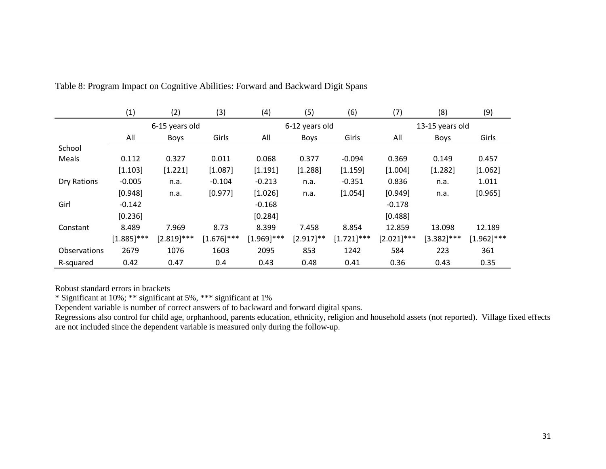|                     | (1)            | (2)           | (3)           | (4)           | (5)            | (6)           | (7)           | (8)             | (9)           |  |  |
|---------------------|----------------|---------------|---------------|---------------|----------------|---------------|---------------|-----------------|---------------|--|--|
|                     | 6-15 years old |               |               |               | 6-12 years old |               |               | 13-15 years old |               |  |  |
|                     | All            | <b>Boys</b>   | Girls         | All           | <b>Boys</b>    | Girls         | All           | <b>Boys</b>     | Girls         |  |  |
| School              |                |               |               |               |                |               |               |                 |               |  |  |
| Meals               | 0.112          | 0.327         | 0.011         | 0.068         | 0.377          | $-0.094$      | 0.369         | 0.149           | 0.457         |  |  |
|                     | [1.103]        | [1.221]       | [1.087]       | [1.191]       | [1.288]        | [1.159]       | [1.004]       | [1.282]         | [1.062]       |  |  |
| Dry Rations         | $-0.005$       | n.a.          | $-0.104$      | $-0.213$      | n.a.           | $-0.351$      | 0.836         | n.a.            | 1.011         |  |  |
|                     | [0.948]        | n.a.          | [0.977]       | [1.026]       | n.a.           | [1.054]       | [0.949]       | n.a.            | [0.965]       |  |  |
| Girl                | $-0.142$       |               |               | $-0.168$      |                |               | $-0.178$      |                 |               |  |  |
|                     | [0.236]        |               |               | [0.284]       |                |               | [0.488]       |                 |               |  |  |
| Constant            | 8.489          | 7.969         | 8.73          | 8.399         | 7.458          | 8.854         | 12.859        | 13.098          | 12.189        |  |  |
|                     | $[1.885]$ ***  | $[2.819]$ *** | $[1.676]$ *** | $[1.969]$ *** | $[2.917]$ **   | $[1.721]$ *** | $[2.021]$ *** | $[3.382]$ ***   | $[1.962]$ *** |  |  |
| <b>Observations</b> | 2679           | 1076          | 1603          | 2095          | 853            | 1242          | 584           | 223             | 361           |  |  |
| R-squared           | 0.42           | 0.47          | 0.4           | 0.43          | 0.48           | 0.41          | 0.36          | 0.43            | 0.35          |  |  |

Table 8: Program Impact on Cognitive Abilities: Forward and Backward Digit Spans

Robust standard errors in brackets

\* Significant at 10%; \*\* significant at 5%, \*\*\* significant at 1%

Dependent variable is number of correct answers of to backward and forward digital spans.

Regressions also control for child age, orphanhood, parents education, ethnicity, religion and household assets (not reported). Village fixed effects are not included since the dependent variable is measured only during the follow-up.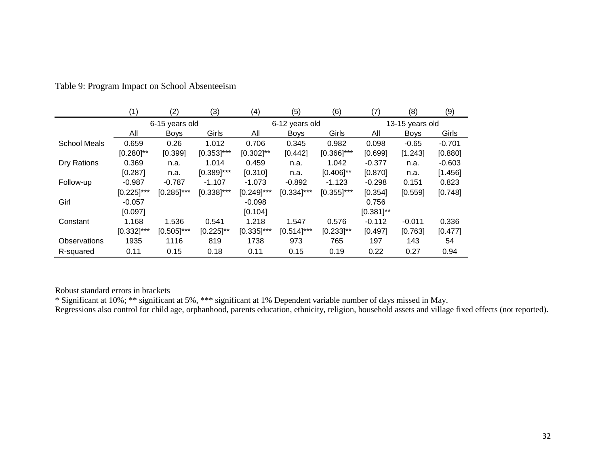|                     | (1)            | (2)            | (3)           | (4)            | (5)            | (6)            | (7)             | (8)         | (9)      |
|---------------------|----------------|----------------|---------------|----------------|----------------|----------------|-----------------|-------------|----------|
|                     |                | 6-15 years old |               |                | 6-12 years old |                | 13-15 years old |             |          |
|                     | All            | <b>Boys</b>    | Girls         | All            | <b>Boys</b>    | Girls          | All             | <b>Boys</b> | Girls    |
| <b>School Meals</b> | 0.659          | 0.26           | 1.012         | 0.706          | 0.345          | 0.982          | 0.098           | $-0.65$     | $-0.701$ |
|                     | $[0.280]^{**}$ | [0.399]        | $[0.353]$ *** | $[0.302]^{**}$ | [0.442]        | $[0.366]$ ***  | [0.699]         | [1.243]     | [0.880]  |
| Dry Rations         | 0.369          | n.a.           | 1.014         | 0.459          | n.a.           | 1.042          | $-0.377$        | n.a.        | $-0.603$ |
|                     | [0.287]        | n.a.           | $[0.389]$ *** | [0.310]        | n.a.           | $[0.406]$ **   | [0.870]         | n.a.        | [1.456]  |
| Follow-up           | $-0.987$       | $-0.787$       | $-1.107$      | $-1.073$       | $-0.892$       | $-1.123$       | $-0.298$        | 0.151       | 0.823    |
|                     | $[0.225]$ ***  | $[0.285]$ ***  | $[0.338]$ *** | $[0.249]$ ***  | $[0.334]$ ***  | $[0.355]$ ***  | [0.354]         | [0.559]     | [0.748]  |
| Girl                | $-0.057$       |                |               | $-0.098$       |                |                | 0.756           |             |          |
|                     | [0.097]        |                |               | [0.104]        |                |                | $[0.381]$ **    |             |          |
| Constant            | 1.168          | 1.536          | 0.541         | 1.218          | 1.547          | 0.576          | $-0.112$        | $-0.011$    | 0.336    |
|                     | $[0.332]$ ***  | $[0.505]$ ***  | $[0.225]$ **  | $[0.335]$ ***  | $[0.514]$ ***  | $[0.233]^{**}$ | [0.497]         | [0.763]     | [0.477]  |
| Observations        | 1935           | 1116           | 819           | 1738           | 973            | 765            | 197             | 143         | 54       |
| R-squared           | 0.11           | 0.15           | 0.18          | 0.11           | 0.15           | 0.19           | 0.22            | 0.27        | 0.94     |

Table 9: Program Impact on School Absenteeism

Robust standard errors in brackets

\* Significant at 10%; \*\* significant at 5%, \*\*\* significant at 1% Dependent variable number of days missed in May.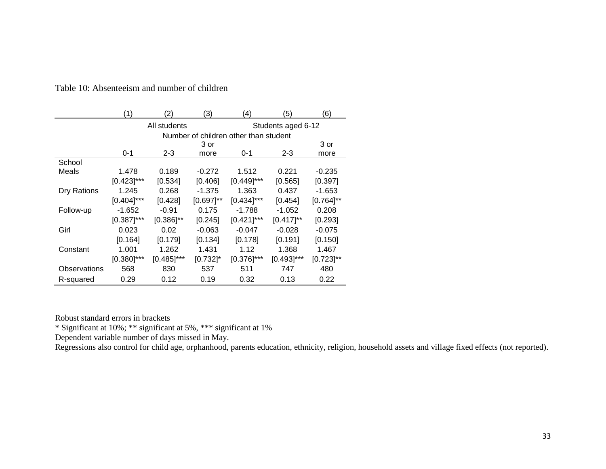|              |               | 2             | (3)          | 4)                                    | (5)                | (6)            |  |  |  |
|--------------|---------------|---------------|--------------|---------------------------------------|--------------------|----------------|--|--|--|
|              |               | All students  |              |                                       | Students aged 6-12 |                |  |  |  |
|              |               |               |              | Number of children other than student |                    |                |  |  |  |
|              |               | 3 or          |              |                                       |                    |                |  |  |  |
|              | $0 - 1$       | $2 - 3$       | more         | 0-1                                   | $2 - 3$            | more           |  |  |  |
| School       |               |               |              |                                       |                    |                |  |  |  |
| Meals        | 1.478         | 0.189         | $-0.272$     | 1.512                                 | 0.221              | $-0.235$       |  |  |  |
|              | $[0.423]$ *** | [0.534]       | [0.406]      | $[0.449]$ ***                         | [0.565]            | [0.397]        |  |  |  |
| Dry Rations  | 1.245         | 0.268         | $-1.375$     | 1.363                                 | 0.437              | $-1.653$       |  |  |  |
|              | $[0.404]$ *** | [0.428]       | $[0.697]$ ** | $[0.434]$ ***                         | [0.454]            | $[0.764]$ **   |  |  |  |
| Follow-up    | $-1.652$      | $-0.91$       | 0.175        | $-1.788$                              | $-1.052$           | 0.208          |  |  |  |
|              | $[0.387]$ *** | $[0.386]$ **  | [0.245]      | $[0.421]$ ***                         | $[0.417]$ **       | [0.293]        |  |  |  |
| Girl         | 0.023         | 0.02          | $-0.063$     | $-0.047$                              | $-0.028$           | $-0.075$       |  |  |  |
|              | [0.164]       | [0.179]       | [0.134]      | [0.178]                               | [0.191]            | [0.150]        |  |  |  |
| Constant     | 1.001         | 1.262         | 1.431        | 1.12                                  | 1.368              | 1.467          |  |  |  |
|              | $[0.380]$ *** | $[0.485]$ *** | $[0.732]$ *  | $[0.376]$ ***                         | $[0.493]$ ***      | $[0.723]^{**}$ |  |  |  |
| Observations | 568           | 830           | 537          | 511                                   | 747                | 480            |  |  |  |
| R-squared    | 0.29          | 0.12          | 0.19         | 0.32                                  | 0.13               | 0.22           |  |  |  |

Table 10: Absenteeism and number of children

Robust standard errors in brackets

\* Significant at 10%; \*\* significant at 5%, \*\*\* significant at 1%

Dependent variable number of days missed in May.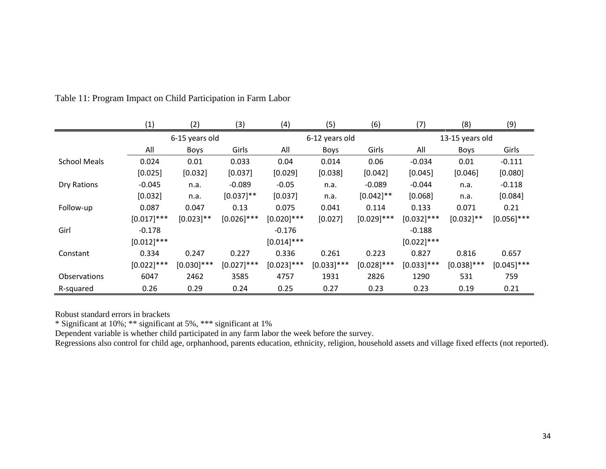|                     | (1)            | (2)           | (3)           | (4)           | (5)            | (6)           | (7)           | (8)             | (9)           |  |  |
|---------------------|----------------|---------------|---------------|---------------|----------------|---------------|---------------|-----------------|---------------|--|--|
|                     | 6-15 years old |               |               |               | 6-12 years old |               |               | 13-15 years old |               |  |  |
|                     | All            | <b>Boys</b>   | Girls         | All           | Boys           | Girls         | All           | <b>Boys</b>     | Girls         |  |  |
| <b>School Meals</b> | 0.024          | 0.01          | 0.033         | 0.04          | 0.014          | 0.06          | $-0.034$      | 0.01            | $-0.111$      |  |  |
|                     | [0.025]        | [0.032]       | [0.037]       | [0.029]       | [0.038]        | [0.042]       | [0.045]       | [0.046]         | [0.080]       |  |  |
| Dry Rations         | $-0.045$       | n.a.          | $-0.089$      | $-0.05$       | n.a.           | $-0.089$      | $-0.044$      | n.a.            | $-0.118$      |  |  |
|                     | [0.032]        | n.a.          | $[0.037]$ **  | [0.037]       | n.a.           | $[0.042]$ **  | [0.068]       | n.a.            | [0.084]       |  |  |
| Follow-up           | 0.087          | 0.047         | 0.13          | 0.075         | 0.041          | 0.114         | 0.133         | 0.071           | 0.21          |  |  |
|                     | $[0.017]$ ***  | $[0.023]$ **  | $[0.026]$ *** | $[0.020]$ *** | [0.027]        | $[0.029]$ *** | $[0.032]$ *** | $[0.032]$ **    | $[0.056]$ *** |  |  |
| Girl                | $-0.178$       |               |               | $-0.176$      |                |               | $-0.188$      |                 |               |  |  |
|                     | $[0.012]$ ***  |               |               | $[0.014]$ *** |                |               | $[0.022]$ *** |                 |               |  |  |
| Constant            | 0.334          | 0.247         | 0.227         | 0.336         | 0.261          | 0.223         | 0.827         | 0.816           | 0.657         |  |  |
|                     | $[0.022]$ ***  | $[0.030]$ *** | $[0.027]$ *** | $[0.023]$ *** | $[0.033]$ ***  | $[0.028]$ *** | $[0.033]$ *** | $[0.038]$ ***   | $[0.045]$ *** |  |  |
| <b>Observations</b> | 6047           | 2462          | 3585          | 4757          | 1931           | 2826          | 1290          | 531             | 759           |  |  |
| R-squared           | 0.26           | 0.29          | 0.24          | 0.25          | 0.27           | 0.23          | 0.23          | 0.19            | 0.21          |  |  |

Table 11: Program Impact on Child Participation in Farm Labor

Robust standard errors in brackets

\* Significant at 10%; \*\* significant at 5%, \*\*\* significant at 1%

Dependent variable is whether child participated in any farm labor the week before the survey.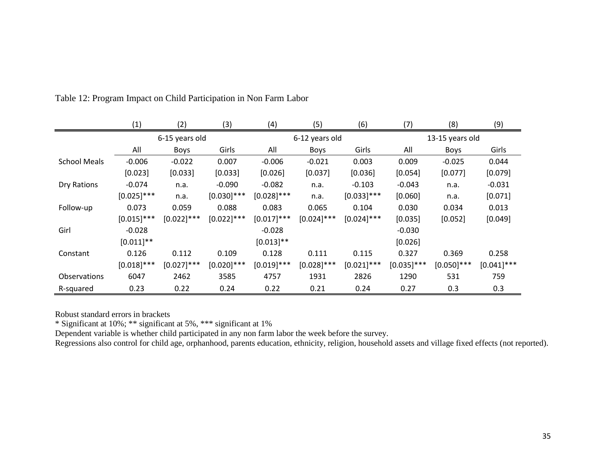|                     | (1)           | (2)            | (3)           | (4)           | (5)            | (6)           | (7)           | (8)             | (9)           |
|---------------------|---------------|----------------|---------------|---------------|----------------|---------------|---------------|-----------------|---------------|
|                     |               | 6-15 years old |               |               | 6-12 years old |               |               | 13-15 years old |               |
|                     | All           | <b>Boys</b>    | Girls         | All           | <b>Boys</b>    | Girls         | All           | <b>Boys</b>     | Girls         |
| <b>School Meals</b> | $-0.006$      | $-0.022$       | 0.007         | $-0.006$      | $-0.021$       | 0.003         | 0.009         | $-0.025$        | 0.044         |
|                     | [0.023]       | [0.033]        | [0.033]       | [0.026]       | [0.037]        | [0.036]       | [0.054]       | [0.077]         | [0.079]       |
| Dry Rations         | $-0.074$      | n.a.           | $-0.090$      | $-0.082$      | n.a.           | $-0.103$      | $-0.043$      | n.a.            | $-0.031$      |
|                     | $[0.025]$ *** | n.a.           | $[0.030]$ *** | $[0.028]$ *** | n.a.           | $[0.033]$ *** | [0.060]       | n.a.            | [0.071]       |
| Follow-up           | 0.073         | 0.059          | 0.088         | 0.083         | 0.065          | 0.104         | 0.030         | 0.034           | 0.013         |
|                     | $[0.015]$ *** | $[0.022]$ ***  | $[0.022]$ *** | $[0.017]$ *** | $[0.024]$ ***  | $[0.024]$ *** | [0.035]       | [0.052]         | [0.049]       |
| Girl                | $-0.028$      |                |               | $-0.028$      |                |               | $-0.030$      |                 |               |
|                     | $[0.011]$ **  |                |               | $[0.013]**$   |                |               | [0.026]       |                 |               |
| Constant            | 0.126         | 0.112          | 0.109         | 0.128         | 0.111          | 0.115         | 0.327         | 0.369           | 0.258         |
|                     | $[0.018]$ *** | $[0.027]$ ***  | $[0.020]$ *** | $[0.019]$ *** | $[0.028]$ ***  | $[0.021]$ *** | $[0.035]$ *** | $[0.050]$ ***   | $[0.041]$ *** |
| <b>Observations</b> | 6047          | 2462           | 3585          | 4757          | 1931           | 2826          | 1290          | 531             | 759           |
| R-squared           | 0.23          | 0.22           | 0.24          | 0.22          | 0.21           | 0.24          | 0.27          | 0.3             | 0.3           |

Table 12: Program Impact on Child Participation in Non Farm Labor

Robust standard errors in brackets

\* Significant at 10%; \*\* significant at 5%, \*\*\* significant at 1%

Dependent variable is whether child participated in any non farm labor the week before the survey.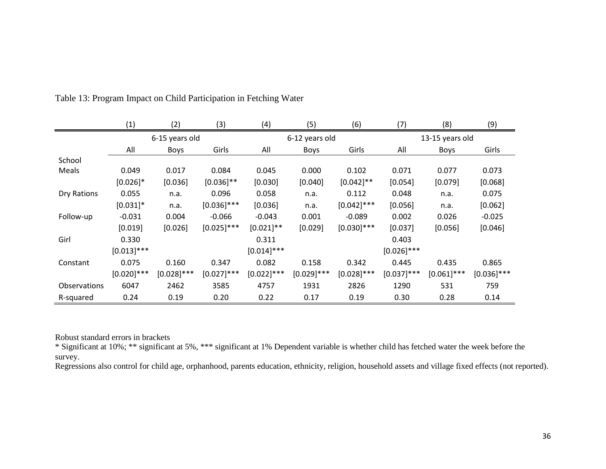|                     | (1)           | (2)            | (3)           | (4)           | (5)            | (6)           | (7)           | (8)             | (9)           |
|---------------------|---------------|----------------|---------------|---------------|----------------|---------------|---------------|-----------------|---------------|
|                     |               | 6-15 years old |               |               | 6-12 years old |               |               | 13-15 years old |               |
|                     | All           | Boys           | Girls         | All           | Boys           | Girls         | All           | <b>Boys</b>     | Girls         |
| School              |               |                |               |               |                |               |               |                 |               |
| Meals               | 0.049         | 0.017          | 0.084         | 0.045         | 0.000          | 0.102         | 0.071         | 0.077           | 0.073         |
|                     | $[0.026]$ *   | [0.036]        | $[0.036]$ **  | [0.030]       | [0.040]        | $[0.042]$ **  | [0.054]       | [0.079]         | [0.068]       |
| Dry Rations         | 0.055         | n.a.           | 0.096         | 0.058         | n.a.           | 0.112         | 0.048         | n.a.            | 0.075         |
|                     | $[0.031]$ *   | n.a.           | $[0.036]$ *** | [0.036]       | n.a.           | $[0.042]$ *** | [0.056]       | n.a.            | [0.062]       |
| Follow-up           | $-0.031$      | 0.004          | $-0.066$      | $-0.043$      | 0.001          | $-0.089$      | 0.002         | 0.026           | $-0.025$      |
|                     | [0.019]       | [0.026]        | $[0.025]$ *** | $[0.021]$ **  | [0.029]        | $[0.030]$ *** | [0.037]       | [0.056]         | [0.046]       |
| Girl                | 0.330         |                |               | 0.311         |                |               | 0.403         |                 |               |
|                     | $[0.013]$ *** |                |               | $[0.014]$ *** |                |               | $[0.026]$ *** |                 |               |
| Constant            | 0.075         | 0.160          | 0.347         | 0.082         | 0.158          | 0.342         | 0.445         | 0.435           | 0.865         |
|                     | $[0.020]$ *** | $[0.028]$ ***  | $[0.027]$ *** | $[0.022]$ *** | $[0.029]$ ***  | $[0.028]$ *** | $[0.037]$ *** | $[0.061]$ ***   | $[0.036]$ *** |
| <b>Observations</b> | 6047          | 2462           | 3585          | 4757          | 1931           | 2826          | 1290          | 531             | 759           |
| R-squared           | 0.24          | 0.19           | 0.20          | 0.22          | 0.17           | 0.19          | 0.30          | 0.28            | 0.14          |

Table 13: Program Impact on Child Participation in Fetching Water

Robust standard errors in brackets

\* Significant at 10%; \*\* significant at 5%, \*\*\* significant at 1% Dependent variable is whether child has fetched water the week before the survey.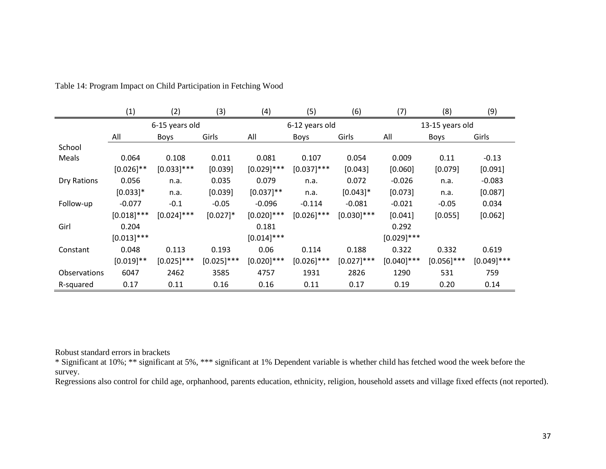|                     | $\left( 1\right)$ | (2)            | (3)           | (4)           | (5)            | (6)           | (7)           | (8)             | (9)           |
|---------------------|-------------------|----------------|---------------|---------------|----------------|---------------|---------------|-----------------|---------------|
|                     |                   | 6-15 years old |               |               | 6-12 years old |               |               | 13-15 years old |               |
|                     | All               | <b>Boys</b>    | Girls         | All           | <b>Boys</b>    | Girls         | All           | <b>Boys</b>     | Girls         |
| School              |                   |                |               |               |                |               |               |                 |               |
| Meals               | 0.064             | 0.108          | 0.011         | 0.081         | 0.107          | 0.054         | 0.009         | 0.11            | $-0.13$       |
|                     | $[0.026]$ **      | $[0.033]$ ***  | [0.039]       | $[0.029]$ *** | $[0.037]$ ***  | [0.043]       | [0.060]       | [0.079]         | [0.091]       |
| Dry Rations         | 0.056             | n.a.           | 0.035         | 0.079         | n.a.           | 0.072         | $-0.026$      | n.a.            | $-0.083$      |
|                     | $[0.033]$ *       | n.a.           | [0.039]       | $[0.037]$ **  | n.a.           | $[0.043]$ *   | [0.073]       | n.a.            | [0.087]       |
| Follow-up           | $-0.077$          | $-0.1$         | $-0.05$       | $-0.096$      | $-0.114$       | $-0.081$      | $-0.021$      | $-0.05$         | 0.034         |
|                     | $[0.018]$ ***     | $[0.024]$ ***  | $[0.027]$ *   | $[0.020]$ *** | $[0.026]$ ***  | $[0.030]$ *** | [0.041]       | [0.055]         | [0.062]       |
| Girl                | 0.204             |                |               | 0.181         |                |               | 0.292         |                 |               |
|                     | $[0.013]$ ***     |                |               | $[0.014]$ *** |                |               | $[0.029]$ *** |                 |               |
| Constant            | 0.048             | 0.113          | 0.193         | 0.06          | 0.114          | 0.188         | 0.322         | 0.332           | 0.619         |
|                     | $[0.019]$ **      | $[0.025]$ ***  | $[0.025]$ *** | $[0.020]$ *** | $[0.026]$ ***  | $[0.027]$ *** | $[0.040]$ *** | $[0.056]$ ***   | $[0.049]$ *** |
| <b>Observations</b> | 6047              | 2462           | 3585          | 4757          | 1931           | 2826          | 1290          | 531             | 759           |
| R-squared           | 0.17              | 0.11           | 0.16          | 0.16          | 0.11           | 0.17          | 0.19          | 0.20            | 0.14          |

Table 14: Program Impact on Child Participation in Fetching Wood

Robust standard errors in brackets

\* Significant at 10%; \*\* significant at 5%, \*\*\* significant at 1% Dependent variable is whether child has fetched wood the week before the survey.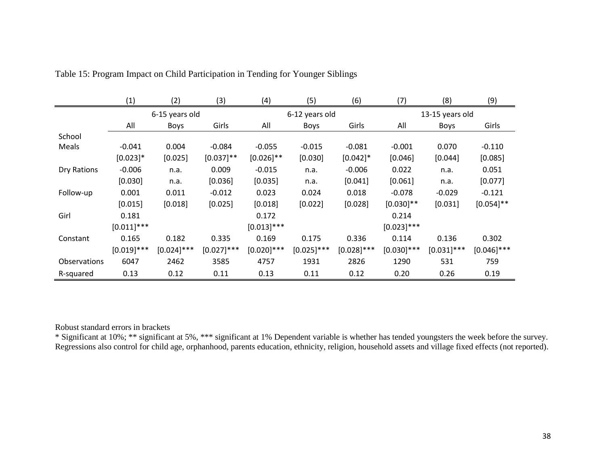|                     | (1)           | (2)            | (3)           | (4)           | (5)            | (6)           | (7)             | (8)           | (9)           |  |
|---------------------|---------------|----------------|---------------|---------------|----------------|---------------|-----------------|---------------|---------------|--|
|                     |               | 6-15 years old |               |               | 6-12 years old |               | 13-15 years old |               |               |  |
|                     | All           | <b>Boys</b>    | Girls         | All           | <b>Boys</b>    | Girls         | All             | <b>Boys</b>   | Girls         |  |
| School              |               |                |               |               |                |               |                 |               |               |  |
| Meals               | $-0.041$      | 0.004          | $-0.084$      | $-0.055$      | $-0.015$       | $-0.081$      | $-0.001$        | 0.070         | $-0.110$      |  |
|                     | $[0.023]$ *   | [0.025]        | $[0.037]$ **  | $[0.026]$ **  | [0.030]        | $[0.042]$ *   | [0.046]         | [0.044]       | [0.085]       |  |
| Dry Rations         | $-0.006$      | n.a.           | 0.009         | $-0.015$      | n.a.           | $-0.006$      | 0.022           | n.a.          | 0.051         |  |
|                     | [0.030]       | n.a.           | [0.036]       | [0.035]       | n.a.           | [0.041]       | [0.061]         | n.a.          | [0.077]       |  |
| Follow-up           | 0.001         | 0.011          | $-0.012$      | 0.023         | 0.024          | 0.018         | $-0.078$        | $-0.029$      | $-0.121$      |  |
|                     | [0.015]       | [0.018]        | [0.025]       | [0.018]       | [0.022]        | [0.028]       | $[0.030]$ **    | [0.031]       | $[0.054]$ **  |  |
| Girl                | 0.181         |                |               | 0.172         |                |               | 0.214           |               |               |  |
|                     | $[0.011]$ *** |                |               | $[0.013]$ *** |                |               | $[0.023]$ ***   |               |               |  |
| Constant            | 0.165         | 0.182          | 0.335         | 0.169         | 0.175          | 0.336         | 0.114           | 0.136         | 0.302         |  |
|                     | $[0.019]$ *** | $[0.024]$ ***  | $[0.027]$ *** | $[0.020]$ *** | $[0.025]$ ***  | $[0.028]$ *** | $[0.030]$ ***   | $[0.031]$ *** | $[0.046]$ *** |  |
| <b>Observations</b> | 6047          | 2462           | 3585          | 4757          | 1931           | 2826          | 1290            | 531           | 759           |  |
| R-squared           | 0.13          | 0.12           | 0.11          | 0.13          | 0.11           | 0.12          | 0.20            | 0.26          | 0.19          |  |

Table 15: Program Impact on Child Participation in Tending for Younger Siblings

Robust standard errors in brackets

\* Significant at 10%; \*\* significant at 5%, \*\*\* significant at 1% Dependent variable is whether has tended youngsters the week before the survey. Regressions also control for child age, orphanhood, parents education, ethnicity, religion, household assets and village fixed effects (not reported).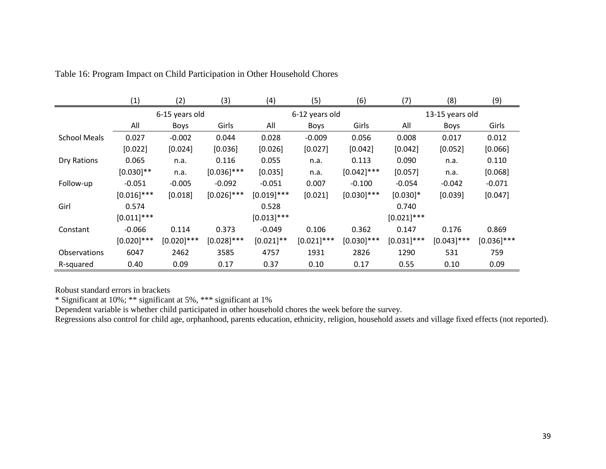|                     | (1)           | (2)            | (3)           | (4)           | (5)            | (6)           | (7)           | (8)             | (9)           |  |  |
|---------------------|---------------|----------------|---------------|---------------|----------------|---------------|---------------|-----------------|---------------|--|--|
|                     |               | 6-15 years old |               |               | 6-12 years old |               |               | 13-15 years old |               |  |  |
|                     | All           | <b>Boys</b>    | Girls         | All           | Boys           | Girls         | All           | <b>Boys</b>     | Girls         |  |  |
| <b>School Meals</b> | 0.027         | $-0.002$       | 0.044         | 0.028         | $-0.009$       | 0.056         | 0.008         | 0.017           | 0.012         |  |  |
|                     | [0.022]       | [0.024]        | [0.036]       | [0.026]       | [0.027]        | [0.042]       | [0.042]       | [0.052]         | [0.066]       |  |  |
| Dry Rations         | 0.065         | n.a.           | 0.116         | 0.055         | n.a.           | 0.113         | 0.090         | n.a.            | 0.110         |  |  |
|                     | $[0.030]$ **  | n.a.           | $[0.036]$ *** | [0.035]       | n.a.           | $[0.042]$ *** | [0.057]       | n.a.            | [0.068]       |  |  |
| Follow-up           | $-0.051$      | $-0.005$       | $-0.092$      | $-0.051$      | 0.007          | $-0.100$      | $-0.054$      | $-0.042$        | $-0.071$      |  |  |
|                     | $[0.016]$ *** | [0.018]        | $[0.026]$ *** | $[0.019]$ *** | [0.021]        | $[0.030]$ *** | $[0.030]$ *   | [0.039]         | [0.047]       |  |  |
| Girl                | 0.574         |                |               | 0.528         |                |               | 0.740         |                 |               |  |  |
|                     | $[0.011]$ *** |                |               | $[0.013]$ *** |                |               | $[0.021]$ *** |                 |               |  |  |
| Constant            | $-0.066$      | 0.114          | 0.373         | $-0.049$      | 0.106          | 0.362         | 0.147         | 0.176           | 0.869         |  |  |
|                     | $[0.020]$ *** | $[0.020]$ ***  | $[0.028]$ *** | $[0.021]$ **  | $[0.021]$ ***  | $[0.030]$ *** | $[0.031]$ *** | $[0.043]$ ***   | $[0.036]$ *** |  |  |
| <b>Observations</b> | 6047          | 2462           | 3585          | 4757          | 1931           | 2826          | 1290          | 531             | 759           |  |  |
| R-squared           | 0.40          | 0.09           | 0.17          | 0.37          | 0.10           | 0.17          | 0.55          | 0.10            | 0.09          |  |  |

Table 16: Program Impact on Child Participation in Other Household Chores

Robust standard errors in brackets

\* Significant at 10%; \*\* significant at 5%, \*\*\* significant at 1%

Dependent variable is whether child participated in other household chores the week before the survey.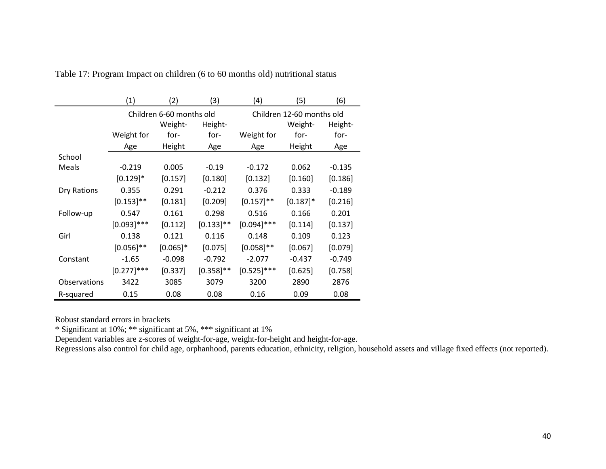|                     | (1)           | (2)                      | (3)          | (4)           | (5)                       | (6)      |
|---------------------|---------------|--------------------------|--------------|---------------|---------------------------|----------|
|                     |               | Children 6-60 months old |              |               | Children 12-60 months old |          |
|                     |               | Weight-                  | Height-      |               | Weight-                   | Height-  |
|                     | Weight for    | for-                     | for-         | Weight for    | for-                      | for-     |
|                     | Age           | Height                   | Age          | Age           | Height                    | Age      |
| School              |               |                          |              |               |                           |          |
| Meals               | $-0.219$      | 0.005                    | $-0.19$      | $-0.172$      | 0.062                     | $-0.135$ |
|                     | $[0.129]$ *   | [0.157]                  | [0.180]      | [0.132]       | [0.160]                   | [0.186]  |
| Dry Rations         | 0.355         | 0.291                    | $-0.212$     | 0.376         | 0.333                     | $-0.189$ |
|                     | $[0.153]$ **  | [0.181]                  | [0.209]      | $[0.157]$ **  | $[0.187]$ *               | [0.216]  |
| Follow-up           | 0.547         | 0.161                    | 0.298        | 0.516         | 0.166                     | 0.201    |
|                     | $[0.093]$ *** | [0.112]                  | $[0.133]$ ** | $[0.094]$ *** | [0.114]                   | [0.137]  |
| Girl                | 0.138         | 0.121                    | 0.116        | 0.148         | 0.109                     | 0.123    |
|                     | $[0.056]$ **  | $[0.065]$ *              | [0.075]      | $[0.058]$ **  | [0.067]                   | [0.079]  |
| Constant            | $-1.65$       | $-0.098$                 | $-0.792$     | $-2.077$      | $-0.437$                  | $-0.749$ |
|                     | $[0.277]$ *** | [0.337]                  | $[0.358]$ ** | $[0.525]$ *** | [0.625]                   | [0.758]  |
| <b>Observations</b> | 3422          | 3085                     | 3079         | 3200          | 2890                      | 2876     |
| R-squared           | 0.15          | 0.08                     | 0.08         | 0.16          | 0.09                      | 0.08     |

Table 17: Program Impact on children (6 to 60 months old) nutritional status

Robust standard errors in brackets

\* Significant at 10%; \*\* significant at 5%, \*\*\* significant at 1%

Dependent variables are z-scores of weight-for-age, weight-for-height and height-for-age.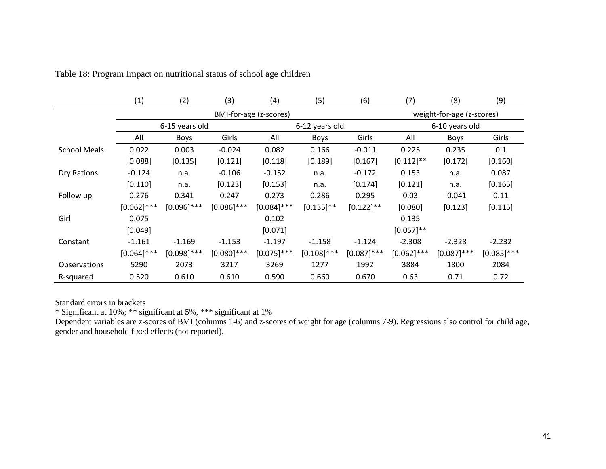|                     | (1)           | (2)            | (3)           | (4)                    | (5)            | (6)           | (7)           | (8)                       | (9)           |  |
|---------------------|---------------|----------------|---------------|------------------------|----------------|---------------|---------------|---------------------------|---------------|--|
|                     |               |                |               | BMI-for-age (z-scores) |                |               |               | weight-for-age (z-scores) |               |  |
|                     |               | 6-15 years old |               |                        | 6-12 years old |               |               | 6-10 years old            |               |  |
|                     | All           | <b>Boys</b>    | Girls         | All                    | Boys           | Girls         | All           | Boys                      | Girls         |  |
| <b>School Meals</b> | 0.022         | 0.003          | $-0.024$      | 0.082                  | 0.166          | $-0.011$      | 0.225         | 0.235                     | 0.1           |  |
|                     | [0.088]       | [0.135]        | [0.121]       | [0.118]                | [0.189]        | [0.167]       | $[0.112]$ **  | [0.172]                   | [0.160]       |  |
| Dry Rations         | $-0.124$      | n.a.           | $-0.106$      | $-0.152$               | n.a.           | $-0.172$      | 0.153         | n.a.                      | 0.087         |  |
|                     | [0.110]       | n.a.           | [0.123]       | [0.153]                | n.a.           | [0.174]       | [0.121]       | n.a.                      | [0.165]       |  |
| Follow up           | 0.276         | 0.341          | 0.247         | 0.273                  | 0.286          | 0.295         | 0.03          | $-0.041$                  | 0.11          |  |
|                     | $[0.062]$ *** | $[0.096]$ ***  | $[0.086]$ *** | $[0.084]$ ***          | $[0.135]$ **   | $[0.122]$ **  | [0.080]       | [0.123]                   | [0.115]       |  |
| Girl                | 0.075         |                |               | 0.102                  |                |               | 0.135         |                           |               |  |
|                     | [0.049]       |                |               | [0.071]                |                |               | $[0.057]$ **  |                           |               |  |
| Constant            | $-1.161$      | $-1.169$       | $-1.153$      | $-1.197$               | $-1.158$       | $-1.124$      | $-2.308$      | $-2.328$                  | $-2.232$      |  |
|                     | $[0.064]$ *** | $[0.098]$ ***  | $[0.080]$ *** | $[0.075]$ ***          | $[0.108]$ ***  | $[0.087]$ *** | $[0.062]$ *** | $[0.087]$ ***             | $[0.085]$ *** |  |
| <b>Observations</b> | 5290          | 2073           | 3217          | 3269                   | 1277           | 1992          | 3884          | 1800                      | 2084          |  |
| R-squared           | 0.520         | 0.610          | 0.610         | 0.590                  | 0.660          | 0.670         | 0.63          | 0.71                      | 0.72          |  |

Table 18: Program Impact on nutritional status of school age children

Standard errors in brackets

\* Significant at 10%; \*\* significant at 5%, \*\*\* significant at 1%

Dependent variables are z-scores of BMI (columns 1-6) and z-scores of weight for age (columns 7-9). Regressions also control for child age, gender and household fixed effects (not reported).